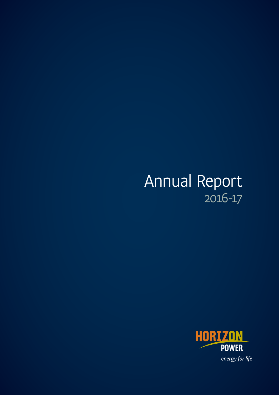# Annual Report 2016-17

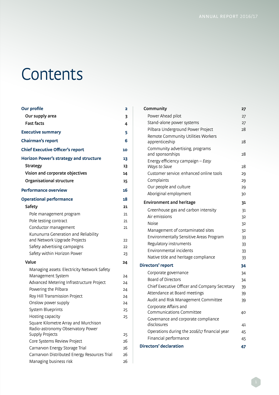# **Contents**

| <b>Our profile</b>                                   | 2        |
|------------------------------------------------------|----------|
| Our supply area                                      | 3        |
| <b>Fast facts</b>                                    | 4        |
| <b>Executive summary</b>                             | 5        |
| <b>Chairman's report</b>                             | 6        |
| <b>Chief Executive Officer's report</b>              | 10       |
| <b>Horizon Power's strategy and structure</b>        | 13       |
| <b>Strategy</b>                                      | 13       |
| Vision and corporate objectives                      | 14       |
| Organisational structure                             | 15       |
| <b>Performance overview</b>                          | 16       |
| <b>Operational performance</b>                       | 18       |
| <b>Safety</b>                                        | 21       |
| Pole management program                              | 21       |
| Pole testing contract                                | 21       |
| Conductor management                                 | 21       |
| Kununurra Generation and Reliability                 |          |
| and Network Upgrade Projects                         | 22       |
| Safety advertising campaigns                         | 22       |
| Safety within Horizon Power                          | 23       |
| Value                                                | 24       |
| Managing assets: Electricity Network Safety          |          |
| Management System                                    | 24       |
| Advanced Metering Infrastructure Project             | 24       |
| Powering the Pilbara                                 | 24       |
| Roy Hill Transmission Project                        | 24       |
| Onslow power supply                                  | 24       |
| System Blueprints                                    | 25       |
| Hosting capacity                                     | 25       |
| Square Kilometre Array and Murchison                 |          |
| Radio-astronomy Observatory Power<br>Supply Projects |          |
| Core Systems Review Project                          | 25<br>26 |
| Carnarvon Energy Storage Trial                       | 26       |
| Carnarvon Distributed Energy Resources Trial         | 26       |
| Managing business risk                               | 26       |
|                                                      |          |

| Community                                            | 27 |
|------------------------------------------------------|----|
| Power Ahead pilot                                    | 27 |
| Stand-alone power systems                            | 27 |
| Pilbara Underground Power Project                    | 28 |
| Remote Community Utilities Workers<br>apprenticeship | 28 |
| Community advertising, programs<br>and sponsorships  | 28 |
| Energy efficiency campaign - Easy                    |    |
| <b>Ways to Save</b>                                  | 28 |
| Customer service: enhanced online tools              | 29 |
| Complaints                                           | 29 |
| Our people and culture                               | 29 |
| Aboriginal employment                                | 30 |
| <b>Environment and heritage</b>                      | 31 |
| Greenhouse gas and carbon intensity                  | 31 |
| Air emissions                                        | 32 |
| Noise                                                | 32 |
| Management of contaminated sites                     | 32 |
| Environmentally Sensitive Areas Program              | 33 |
| Regulatory instruments                               | 33 |
| <b>Environmental incidents</b>                       | 33 |
| Native title and heritage compliance                 | 33 |
| Directors' report                                    | 34 |
| Corporate governance                                 | 34 |
| <b>Board of Directors</b>                            | 34 |
| Chief Executive Officer and Company Secretary        | 39 |
| Attendance at Board meetings                         | 39 |
| Audit and Risk Management Committee                  | 39 |
| Corporate Affairs and                                |    |
| Communications Committee                             | 40 |
| Governance and corporate compliance<br>disclosures   | 41 |
| Operations during the 2016/17 financial year         | 45 |
| Financial performance                                | 45 |
| <b>Directors' declaration</b>                        | 47 |
|                                                      |    |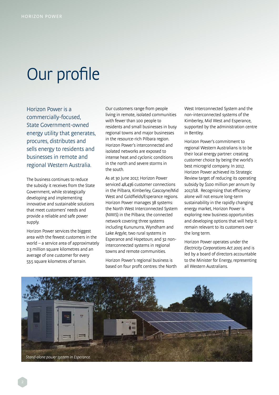# Our profile

Horizon Power is a commercially-focused, State Government-owned energy utility that generates, procures, distributes and sells energy to residents and businesses in remote and regional Western Australia.

The business continues to reduce the subsidy it receives from the State Government, while strategically developing and implementing innovative and sustainable solutions that meet customers' needs and provide a reliable and safe power supply.

Horizon Power services the biggest area with the fewest customers in the world – a service area of approximately 2.3 million square kilometres and an average of one customer for every 53.5 square kilometres of terrain.

Our customers range from people living in remote, isolated communities with fewer than 100 people to residents and small businesses in busy regional towns and major businesses in the resource-rich Pilbara region. Horizon Power's interconnected and isolated networks are exposed to intense heat and cyclonic conditions in the north and severe storms in the south.

As at 30 June 2017, Horizon Power serviced 48,436 customer connections in the Pilbara, Kimberley, Gascoyne/Mid West and Goldfields/Esperance regions. Horizon Power manages 38 systems: the North West Interconnected System (NWIS) in the Pilbara; the connected network covering three systems including Kununurra, Wyndham and Lake Argyle; two rural systems in Esperance and Hopetoun; and 32 noninterconnected systems in regional towns and remote communities.

Horizon Power's regional business is based on four profit centres: the North West Interconnected System and the non-interconnected systems of the Kimberley, Mid West and Esperance, supported by the administration centre in Bentley.

Horizon Power's commitment to regional Western Australians is to be their local energy partner: creating customer choice by being the world's best microgrid company. In 2017, Horizon Power achieved its Strategic Review target of reducing its operating subsidy by \$100 million per annum by 2017/18. Recognising that efficiency alone will not ensure long-term sustainability in the rapidly changing energy market, Horizon Power is exploring new business opportunities and developing options that will help it remain relevant to its customers over the long term.

Horizon Power operates under the Electricity Corporations Act 2005 and is led by a board of directors accountable to the Minister for Energy, representing all Western Australians.

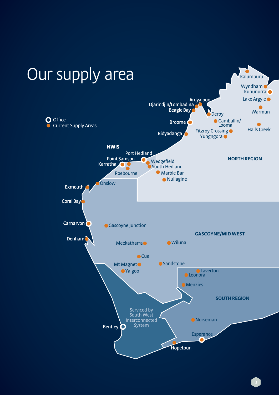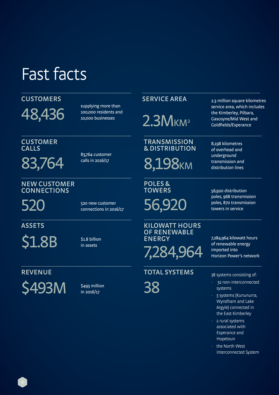# Fast facts

# 48,436 **CUSTOMERS**

supplying more than 100,000 residents and 10,000 businesses

# **CUSTOMER** CALLS

83,764 customer calls in 2016/17

# NEW CUSTOMER CONNECTIONS

520 new customer connections in 2016/17

**ASSETS** 

\$1.8B

\$1.8 billion in assets

# REVENUE

**\$493M** 

\$493 million in 2016/17

# SERVICE AREA

2.3M<sub>KM<sup>2</sup></sub>

# **TRANSMISSION** & DISTRIBUTION

83,764 Calls in 2016/17 8,198 KM

# $520$  s<sup>20 new customer</sup>  $56,920$ POLES & **TOWERS**

7,284,964 KILOWATT HOURS OF RENEWABLE ENERGY

# TOTAL SYSTEMS

38

8,198 kilometres Goldfields/Esperance

2.3 million square kilometres service area, which includes the Kimberley, Pilbara, Gascoyne/Mid West and

of overhead and underground transmission and distribution lines

56,920 distribution poles, 968 transmission poles, 870 transmission towers in service

7,284,964 kilowatt hours of renewable energy imported into Horizon Power's network

38 systems consisting of:

- · 32 non-interconnected systems
- · 3 systems (Kununurra, Wyndham and Lake Argyle) connected in the East Kimberley
- · 2 rural systems associated with Esperance and Hopetoun
- · the North West Interconnected System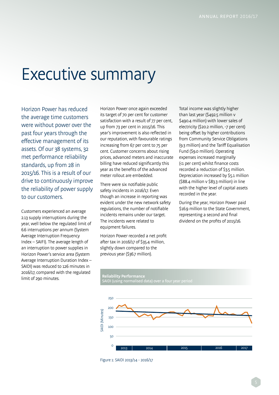# Executive summary

Horizon Power has reduced the average time customers were without power over the past four years through the effective management of its assets. Of our 38 systems, 32 met performance reliability standards, up from 28 in 2015/16. This is a result of our drive to continuously improve the reliability of power supply to our customers.

Customers experienced an average 2.13 supply interruptions during the year, well below the regulated limit of 6.6 interruptions per annum (System Average Interruption Frequency Index – SAIFI). The average length of an interruption to power supplies in Horizon Power's service area (System Average Interruption Duration Index – SAIDI) was reduced to 126 minutes in 2016/17, compared with the regulated limit of 290 minutes.

Horizon Power once again exceeded its target of 70 per cent for customer satisfaction with a result of 77 per cent, up from 73 per cent in 2015/16. This year's improvement is also reflected in our reputation, with favourable ratings increasing from 67 per cent to 75 per cent. Customer concerns about rising prices, advanced meters and inaccurate billing have reduced significantly this year as the benefits of the advanced meter rollout are embedded.

There were six notifiable public safety incidents in 2016/17. Even though an increase in reporting was evident under the new network safety regulations, the number of notifiable incidents remains under our target. The incidents were related to equipment failures.

Horizon Power recorded a net profit after tax in 2016/17 of \$35.4 million, slightly down compared to the previous year (\$36.7 million).

Total income was slightly higher than last year (\$492.5 million v \$490.4 million) with lower sales of electricity (\$20.2 million, -7 per cent) being offset by higher contributions from Community Service Obligations (9.3 million) and the Tariff Equalisation Fund (\$9.0 million). Operating expenses increased marginally (<1 per cent) whilst finance costs recorded a reduction of \$3.5 million. Depreciation increased by \$5.1 million (\$88.4 million v \$83.3 million) in line with the higher level of capital assets recorded in the year.

During the year, Horizon Power paid \$16.9 million to the State Government, representing a second and final dividend on the profits of 2015/16.



**Reliability Performance** SAIDI (using normalised data) over a four year period

Figure 1: SAIDI 2013/14 - 2016/17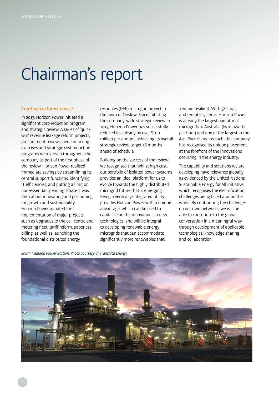# Chairman's report

#### Creating customer choice

In 2013, Horizon Power initiated a significant cost-reduction program and strategic review. A series of 'quick win' revenue leakage reform projects, procurement reviews, benchmarking exercises and strategic cost reduction programs were driven throughout the company as part of the first phase of the review. Horizon Power realised immediate savings by streamlining its central support functions, identifying IT efficiencies, and putting a limit on non-essential spending. Phase 2 was then about innovating and positioning for growth and sustainability. Horizon Power initiated the implementation of major projects, such as upgrades to the call centre and metering fleet, tariff reform, paperless billing, as well as launching the foundational distributed energy

resources (DER) microgrid project in the town of Onslow. Since initiating the company-wide strategic review in 2013, Horizon Power has successfully reduced its subsidy by over \$100 million per annum, achieving its overall strategic review target 16 months ahead of schedule.

Building on the success of the review, we recognised that, whilst high cost, our portfolio of isolated power systems provides an ideal platform for us to evolve towards the highly distributed microgrid future that is emerging. Being a vertically-integrated utility provides Horizon Power with a unique advantage, which can be used to capitalise on the innovations in new technologies, and will be integral to developing renewable energy microgrids that can accommodate significantly more renewables that

 remain resilient. With 38 small and remote systems, Horizon Power is already the largest operator of microgrids in Australia (by kilowatts per hour) and one of the largest in the Asia Pacific, and as such, the company has recognised its unique placement at the forefront of the innovations occurring in the energy industry.

The capability and solutions we are developing have relevance globally as evidenced by the United Nations Sustainable Energy for All initiative, which recognises the electrification challenges being faced around the world. By confronting the challenges on our own networks, we will be able to contribute to the global conversation in a meaningful way through development of applicable technologies, knowledge sharing and collaboration.

```
South Hedland Power Station. Photo courtesy of TransAlta Energy.
```
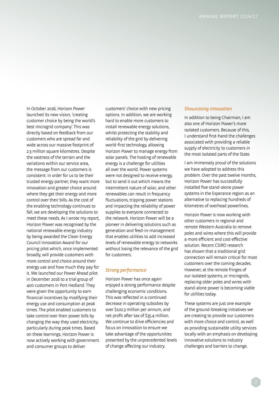In October 2016, Horizon Power launched its new vision, 'creating customer choice by being the world's best microgrid company'. This was directly based on feedback from our customers who are spread far and wide across our massive footprint of 2.3 million square kilometres. Despite the vastness of the terrain and the variations within our service area, the message from our customers is consistent: in order for us to be their trusted energy partner, they want more innovation and greater choice around where they get their energy and more control over their bills. As the cost of the enabling technology continues to fall, we are developing the solutions to meet these needs. As I wrote my report, Horizon Power was recognised by the national renewable energy industry by being awarded the Clean Energy Council Innovation Award for our pricing pilot which, once implemented broadly, will provide customers with more control and choice around their energy use and how much they pay for it. We launched our Power Ahead pilot in December 2016 to a trial group of 400 customers in Port Hedland. They were given the opportunity to earn financial incentives by modifying their energy use and consumption at peak times. The pilot enabled customers to take control over their power bills by changing the way they used electricity, particularly during peak times. Based on these learnings, Horizon Power is now actively working with government and consumer groups to deliver

customers' choice with new pricing options. In addition, we are working hard to enable more customers to install renewable energy solutions, whilst protecting the stability and reliability of the grid by delivering world-first technology, allowing Horizon Power to manage energy from solar panels. The hosting of renewable energy is a challenge for utilities all over the world. Power systems were not designed to receive energy, but to send it out which means the intermittent nature of solar, and other renewables can result in frequency fluctuations, tripping power stations and impacting the reliability of power supplies to everyone connected to the network. Horizon Power will be a pioneer in delivering solutions such as generation and feed-in-management that enables utilities to add increased levels of renewable energy to networks without losing the relevance of the grid for customers.

# Strong performance

Horizon Power has once again enjoyed a strong performance despite challenging economic conditions. This was reflected in a continued decrease in operating subsidies by over \$102.3 million per annum, and net profit after tax of \$35.4 million. We continue to drive efficiencies and focus on innovation to ensure we take advantage of the opportunities presented by the unprecedented levels of change affecting our industry.

#### Showcasing innovation

In addition to being Chairman, I am also one of Horizon Power's more isolated customers. Because of this, I understand first-hand the challenges associated with providing a reliable supply of electricity to customers in the most isolated parts of the State.

I am immensely proud of the solutions we have adopted to address this problem. Over the past twelve months, Horizon Power has successfully installed five stand-alone power systems in the Esperance region as an alternative to replacing hundreds of kilometres of overhead powerlines.

Horizon Power is now working with other customers in regional and remote Western Australia to remove poles and wires where this will provide a more efficient and cost-effective solution. Recent CSIRO research has shown that a traditional grid connection will remain critical for most customers over the coming decades. However, at the remote fringes of our isolated systems, or microgrids, replacing older poles and wires with stand-alone power is becoming viable for utilities today.

These systems are just one example of the ground-breaking initiatives we are creating to provide our customers with more choice and control, as well as providing sustainable utility services locally with an emphasis on developing innovative solutions to industry challenges and barriers to change.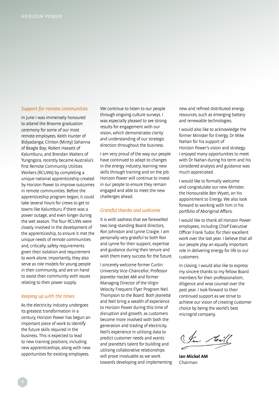#### Support for remote communities

In June I was immensely honoured to attend the Broome graduation ceremony for some of our most remote employees. Keith Hunter of Bidyadanga; Clinton (Minty) Sahanna of Beagle Bay; Robert Hassett of Kalumburu; and Brendan Walters of Yungngora, recently became Australia's first Remote Community Utilities Workers (RCUWs) by completing a unique national apprenticeship created by Horizon Power to improve outcomes in remote communities. Before the apprenticeship program began, it could take several hours for crews to get to towns like Kalumburu if there was a power outage, and even longer during the wet season. The four RCUWs were closely involved in the development of the apprenticeship, to ensure it met the unique needs of remote communities and, critically, safety requirements given their isolation and requirement to work alone. Importantly, they also serve as role models for young people in their community, and are on hand to assist their community with issues relating to their power supply.

#### Keeping up with the times

As the electricity industry undergoes its greatest transformation in a century, Horizon Power has begun an important piece of work to identify the future skills required in the business. This is expected to lead to new training positions, including new apprenticeships, along with new opportunities for existing employees.

We continue to listen to our people through ongoing culture surveys. I was especially pleased to see strong results for engagement with our vision, which demonstrates clarity and understanding of our strategic direction throughout the business.

I am very proud of the way our people have continued to adapt to changes in the energy industry, learning new skills through training and on the job. Horizon Power will continue to invest in our people to ensure they remain engaged and able to meet the new challenges ahead.

#### Grateful thanks and welcome

It is with sadness that we farewelled two long-standing Board directors, Ron Johnston and Lynne Craigie. I am personally very grateful to both Ron and Lynne for their support, expertise and guidance during their tenure and wish them every success for the future.

I sincerely welcome former Curtin University Vice-Chancellor, Professor Jeanette Hacket AM and former Managing Director of the Virgin Velocity Frequent Flyer Program Neil Thompson to the Board. Both Jeanette and Neil bring a wealth of experience to Horizon Power during this time of disruption and growth, as customers become more involved with both the generation and trading of electricity. Neil's experience in utilising data to predict customer needs and wants and Jeanette's talent for building and utilising collaborative relationships will prove invaluable as we work towards developing and implementing new and refined distributed energy resources, such as emerging battery and renewable technologies.

I would also like to acknowledge the former Minister for Energy, Dr Mike Nahan for his support of Horizon Power's vision and strategy. I enjoyed many opportunities to meet with Dr Nahan during his term and his considered analysis and guidance was much appreciated.

I would like to formally welcome and congratulate our new Minister, the Honourable Ben Wyatt, on his appointment to Energy. We also look forward to working with him in his portfolio of Aboriginal Affairs.

I would like to thank all Horizon Power employees, including Chief Executive Officer Frank Tudor, for their excellent work over the last year. I believe that all our people play an equally important role in delivering energy for life to our customers.

In closing, I would also like to express my sincere thanks to my fellow Board members for their professionalism, diligence and wise counsel over the past year. I look forward to their continued support as we strive to achieve our vision of creating customer choice by being the world's best microgrid company.

San Mail

**Ian Mickel AM** Chairman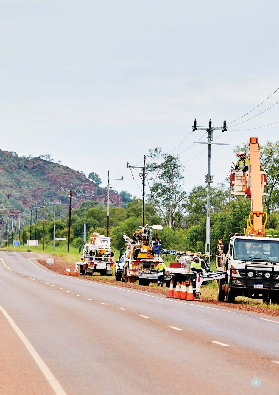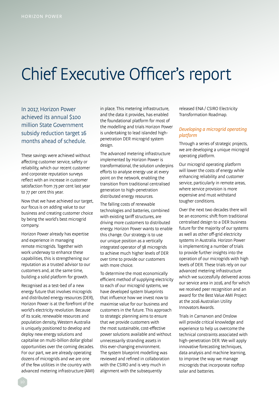# Chief Executive Officer's report

In 2017, Horizon Power achieved its annual \$100 million State Government subsidy reduction target 16 months ahead of schedule.

These savings were achieved without affecting customer service, safety or reliability, which our recent customer and corporate reputation surveys reflect with an increase in customer satisfaction from 73 per cent last year to 77 per cent this year.

Now that we have achieved our target, our focus is on adding value to our business and creating customer choice by being the world's best microgrid company.

Horizon Power already has expertise and experience in managing remote microgrids. Together with work underway to enhance these capabilities, this is strengthening our reputation as a trusted advisor to our customers and, at the same time, building a solid platform for growth.

Recognised as a test-bed of a new energy future that involves microgrids and distributed energy resources (DER), Horizon Power is at the forefront of the world's electricity revolution. Because of its scale, renewable resources and population density, Western Australia is uniquely positioned to develop and deploy new energy solutions and capitalise on multi-billion dollar global opportunities over the coming decades. For our part, we are already operating dozens of microgrids and we are one of the few utilities in the country with advanced metering infrastructure (AMI) in place. This metering infrastructure, and the data it provides, has enabled the foundational platform for most of the modelling and trials Horizon Power is undertaking to lead islanded highpenetration DER microgrid system design.

The advanced metering infrastructure implemented by Horizon Power is transformational, the solution underpins efforts to analyse energy use at every point on the network, enabling the transition from traditional centralised generation to high-penetration distributed energy resources.

The falling costs of renewable technologies and batteries, combined with existing tariff structures, are driving more customers to distributed energy. Horizon Power wants to enable this change. Our strategy is to use our unique position as a vertically integrated operator of 38 microgrids to achieve much higher levels of DER over time to provide our customers with more choice

To determine the most economically efficient method of supplying electricity to each of our microgrid systems, we have developed system blueprints that influence how we invest now to maximise value for our business and customers in the future. This approach to strategic planning aims to ensure that we provide customers with the most sustainable, cost-effective power solutions available and without unnecessarily stranding assets in this ever-changing environment. The system blueprint modelling was reviewed and refined in collaboration with the CSIRO and is very much in alignment with the subsequently

released ENA / CSIRO Electricity Transformation Roadmap.

# Developing a microgrid operating platform

Through a series of strategic projects, we are developing a unique microgrid operating platform.

Our microgrid operating platform will lower the costs of energy while enhancing reliability and customer service, particularly in remote areas, where service provision is more expensive and must withstand tougher conditions.

Over the next two decades there will be an economic shift from traditional centralised design to a DER business future for the majority of our systems as well as other off-grid electricity systems in Australia. Horizon Power is implementing a number of trials to provide further insights into the operation of our microgrids with high levels of DER. These trials rely on our advanced metering infrastructure which we successfully delivered across our service area in 2016, and for which we received peer recognition and an award for the Best Value AMI Project at the 2016 Australian Utility Innovators Awards.

Trials in Carnarvon and Onslow will provide critical knowledge and experience to help us overcome the technical constraints associated with high-penetration DER. We will apply innovative forecasting techniques, data analysis and machine learning, to improve the way we manage microgrids that incorporate rooftop solar and batteries.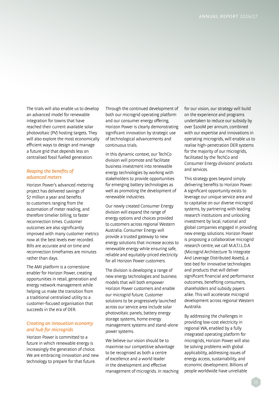The trials will also enable us to develop an advanced model for renewable integration for towns that have reached their current available solar photovoltaic (PV) hosting targets. They will also explore the most economically efficient ways to design and manage a future grid that depends less on centralised fossil fuelled generation.

# Reaping the benefits of advanced meters

Horizon Power's advanced metering project has delivered savings of \$7 million a year and benefits to customers ranging from the automation of meter reading, and therefore timelier billing, to faster reconnection times. Customer outcomes are also significantly improved with many customer metrics now at the best levels ever recorded. Bills are accurate and on time and reconnection timeframes are minutes rather than days.

The AMI platform is a cornerstone enabler for Horizon Power, creating opportunities in retail, generation and energy network management while helping us make the transition from a traditional centralised utility to a customer-focused organisation that succeeds in the era of DER.

# Creating an innovation economy and hub for microgrids

Horizon Power is committed to a future in which renewable energy is increasingly the generation of choice. We are embracing innovation and new technology to prepare for that future.

Through the continued development of both our microgrid operating platform and our consumer energy offering, Horizon Power is clearly demonstrating significant innovation by strategic use of technological advancements and continuous trials.

In this dynamic context, our TechCo division will promote and facilitate business investment into renewable energy technologies by working with stakeholders to provide opportunities for emerging battery technologies as well as promoting the development of renewable industries.

Our newly created Consumer Energy division will expand the range of energy options and choices provided to customers across regional Western Australia. Consumer Energy will provide a trusted gateway to new energy solutions that increase access to renewable energy while ensuring safe, reliable and equitably-priced electricity for all Horizon Power customers.

The division is developing a range of new energy technologies and business models that will both empower Horizon Power customers and enable our microgrid future. Customer solutions to be progressively launched across our service area include solar photovoltaic panels, battery energy storage systems, home energy management systems and stand-alone power systems.

We believe our vision should be to maximise our competitive advantage to be recognised as both a centre of excellence and a world leader in the development and effective management of microgrids. In reaching for our vision, our strategy will build on the experience and programs undertaken to reduce our subsidy by over \$100M per annum, combined with our expertise and innovations in operating microgrids, will enable us to realise high-penetration DER systems for the majority of our microgrids, facilitated by the TechCo and Consumer Energy divisions' products and services.

This strategy goes beyond simply delivering benefits to Horizon Power. A significant opportunity exists to leverage our unique service area and to capitalise on our diverse microgrid systems, by partnering with leading research institutions and unlocking investment by local, national and global companies engaged in providing new energy solutions. Horizon Power is proposing a collaborative microgrid research centre, we call M.A.T.I.L.D.A (Microgrid Architecture To Integrate And Leverage Distributed Assets), a test-bed for innovative technologies and products that will deliver significant financial and performance outcomes, benefiting consumers, shareholders and subsidy payers alike. This will accelerate microgrid development across regional Western Australia.

By addressing the challenges in providing low-cost electricity in regional WA, enabled by a fully integrated operating platform for microgrids, Horizon Power will also be solving problems with global applicability, addressing issues of energy access, sustainability, and economic development. Billions of people worldwide have unreliable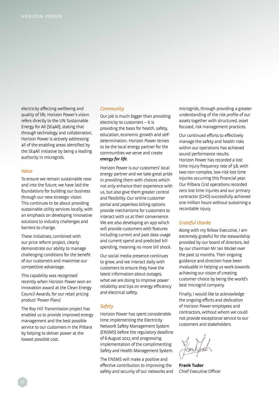electricity affecting wellbeing and quality of life. Horizon Power's vision refers directly to the UN Sustainable Energy for All (SE4All), stating that through technology and collaboration, Horizon Power is actively addressing all of the enabling areas identified by the SE4All initiative by being a leading authority in microgrids.

#### Value

To ensure we remain sustainable now and into the future, we have laid the foundations for building our business through our new strategic vision. This continues to be about providing sustainable utility services locally, with an emphasis on developing innovative solutions to industry challenges and barriers to change.

These initiatives, combined with our price reform project, clearly demonstrate our ability to manage challenging conditions for the benefit of our customers and maximise our competitive advantage.

This capability was recognised recently when Horizon Power won an Innovation award at the Clean Energy Council Awards, for our retail pricing product 'Power Plans'.

The Roy Hill Transmission project has enabled us to provide improved energy management and the best possible service to our customers in the Pilbara by helping to deliver power at the lowest possible cost.

#### **Community**

Our job is much bigger than providing electricity to customers – it is providing the basis for health, safety, education, economic growth and selfdetermination. Horizon Power strives to be the local energy partner for the communities we serve and create energy for life.

Horizon Power is our customers' local energy partner and we take great pride in providing them with choices which not only enhance their experience with us, but also give them greater control and flexibility. Our online customer portal and paperless billing options provide mechanisms for customers to interact with us at their convenience. We are also developing an app which will provide customers with features including current and past data usage and current spend and predicted bill spending, meaning no more bill shock.

Our social media presence continues to grow, and we interact daily with customers to ensure they have the latest information about outages, what we are doing to improve power reliability and tips on energy efficiency and electrical safety.

#### Safety

Horizon Power has spent considerable time implementing the Electricity Network Safety Management System (ENSMS) before the regulatory deadline of 6 August 2017, and progressing implementation of the complimenting Safety and Health Management System.

The ENSMS will make a positive and effective contribution to improving the safety and security of our networks and

microgrids, through providing a greater understanding of the risk profile of our assets together with structured, asset focused, risk management practices.

Our continued efforts to effectively manage the safety and health risks within our operations has achieved sound performance results. Horizon Power has recorded a lost time injury frequency rate of 3.8, with two non-complex, low-risk lost time injuries occurring this financial year. Our Pilbara Grid operations recorded zero lost time injuries and our primary contractor (GHD) successfully achieved one million hours without sustaining a recordable injury.

#### Grateful thanks

Along with my fellow Executive, I am extremely grateful for the stewardship provided by our board of directors, led by our chairman Mr Ian Mickel over the past 12 months. Their ongoing guidance and direction have been invaluable in helping us work towards achieving our vision of creating customer choice by being the world's best microgrid company.

Finally, I would like to acknowledge the ongoing efforts and dedication of Horizon Power employees and contractors, without whom we could not provide exceptional service to our customers and stakeholders.

**Frank Tudor**  Chief Executive Officer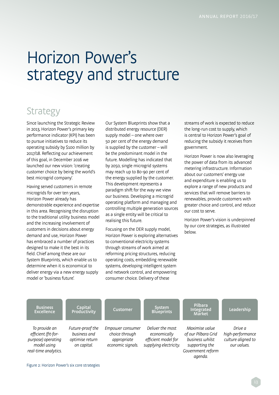# Horizon Power's strategy and structure

# **Strategy**

Since launching the Strategic Review in 2013, Horizon Power's primary key performance indicator (KPI) has been to pursue initiatives to reduce its operating subsidy by \$100 million by 2017/18. Reflecting our achievement of this goal, in December 2016 we launched our new vision: 'creating customer choice by being the world's best microgrid company'.

Having served customers in remote microgrids for over ten years, Horizon Power already has demonstrable experience and expertise in this area. Recognising the disruption to the traditional utility business model and the increasing involvement of customers in decisions about energy demand and use, Horizon Power has embraced a number of practices designed to make it the best in its field. Chief among these are our System Blueprints, which enable us to determine when it is economical to deliver energy via a new energy supply model or 'business future'.

Our System Blueprints show that a distributed energy resource (DER) supply model – one where over 50 per cent of the energy demand is supplied by the customer – will be the predominant model in the future. Modelling has indicated that by 2050, single microgrid systems may reach up to 80-90 per cent of the energy supplied by the customer. This development represents a paradigm shift for the way we view our business. Developing a microgrid operating platform and managing and controlling multiple generation sources as a single entity will be critical to realising this future.

Focusing on the DER supply model, Horizon Power is exploring alternatives to conventional electricity systems through streams of work aimed at reforming pricing structures, reducing operating costs, embedding renewable systems, developing intelligent system and network control, and empowering consumer choice. Delivery of these

streams of work is expected to reduce the long-run cost to supply, which is central to Horizon Power's goal of reducing the subsidy it receives from government.

Horizon Power is now also leveraging the power of data from its advanced metering infrastructure. Information about our customers' energy use and expenditure is enabling us to explore a range of new products and services that will remove barriers to renewables, provide customers with greater choice and control, and reduce our cost to serve.

Horizon Power's vision is underpinned by our core strategies, as illustrated below.

| <b>Business</b><br><b>Excellence</b>                                                              | Capital<br>Productivity                                            | <b>Customer</b>                                                        | System<br>Blueprints                                                              | <b>Pilbara</b><br>Integrated<br><b>Market</b>                                                              | Leadership                                                       |
|---------------------------------------------------------------------------------------------------|--------------------------------------------------------------------|------------------------------------------------------------------------|-----------------------------------------------------------------------------------|------------------------------------------------------------------------------------------------------------|------------------------------------------------------------------|
| To provide an<br>efficient (fit-for-<br>purpose) operating<br>model using<br>real-time analytics. | Future-proof the<br>business and<br>optimise return<br>on capital. | Empower consumer<br>choice through<br>appropriate<br>economic signals. | Deliver the most<br>economically<br>efficient model for<br>supplying electricity. | Maximise value<br>of our Pilbara Grid<br>business whilst<br>supporting the<br>Government reform<br>agenda. | Drive a<br>high-performance<br>culture aligned to<br>our values. |

Figure 2: Horizon Power's six core strategies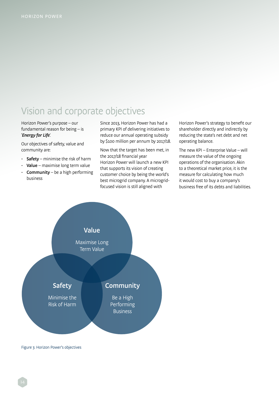# Vision and corporate objectives

Horizon Power's purpose – our fundamental reason for being – is 'Energy for Life'.

Our objectives of safety, value and community are:

- Safety minimise the risk of harm
- Value maximise long term value
- **Community** be a high performing business

Since 2013, Horizon Power has had a primary KPI of delivering initiatives to reduce our annual operating subsidy by \$100 million per annum by 2017/18.

Now that the target has been met, in the 2017/18 financial year Horizon Power will launch a new KPI that supports its vision of creating customer choice by being the world's best microgrid company. A microgridfocused vision is still aligned with

Horizon Power's strategy to benefit our shareholder directly and indirectly by reducing the state's net debt and net operating balance.

The new KPI – Enterprise Value – will measure the value of the ongoing operations of the organisation. Akin to a theoretical market price, it is the measure for calculating how much it would cost to buy a company's business free of its debts and liabilities.



Figure 3: Horizon Power's objectives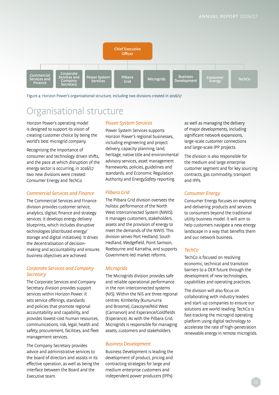

Figure 4: Horizon Power's organisational structure, including two divisions created in 2016/17

# Organisational structure

Horizon Power's operating model is designed to support its vision of creating customer choice by being the world's best microgrid company.

Recognising the importance of consumer and technology driven shifts, and the pace at which disruption of the energy sector is occurring, in 2016/17 two new divisions were created: Consumer Energy and TechCo.

# Commercial Services and Finance

The Commercial Services and Finance division provides customer service, analytics, digital, finance and strategy services. It develops energy delivery blueprints, which includes disruptive technologies (distributed energy/ storage and digital initiatives). It drives the decentralisation of decisionmaking and accountability and ensures business objectives are achieved.

# Corporate Services and Company **Secretary**

The Corporate Services and Company Secretary division provides support services within Horizon Power. It sets service offerings, standards and policies that promote regional accountability and capability, and provides lowest-cost human resources, communications, risk, legal, health and safety, procurement, facilities, and fleet management services.

The Company Secretary provides advice and administrative services to the board of directors and assists in its effective operation, as well as being the interface between the Board and the Executive team.

# Power System Services

Power System Services supports Horizon Power's regional businesses, including engineering and project delivery, capacity planning, land, heritage, native title and environmental advisory services, asset management frameworks, policies, guidelines and standards, and Economic Regulation Authority and EnergySafety reporting.

# Pilbara Grid

The Pilbara Grid division oversees the holistic performance of the North West Interconnected System (NWIS). It manages customers, stakeholders, assets and the provision of energy to meet the demands of the NWIS. This division serves Port Hedland, South Hedland, Wedgefield, Point Samson, Roebourne and Karratha, and supports Government-led market reforms.

# **Microgrids**

The Microgrids division provides safe and reliable operational performance in the non-interconnected systems (NIS). Within the NIS are three regional centres: Kimberley (Kununurra and Broome), Gascoyne/Mid West (Carnarvon) and Esperance/Goldfields (Esperance). As with the Pilbara Grid, Microgrids is responsible for managing assets, customers and stakeholders.

# Business Development

Business Development is leading the development of product, pricing and contracting strategies for large and medium enterprise customers and independent power producers (IPPs)

as well as managing the delivery of major developments, including significant network expansions, large-scale customer connections and large-scale IPP projects.

The division is also responsible for the medium and large enterprise customer segment and for key sourcing contracts, gas commodity, transport and IPPs.

#### Consumer Energy

Consumer Energy focuses on exploring and delivering products and services to consumers beyond the traditional utility business model. It will aim to help customers navigate a new energy landscape in a way that benefits them and our network business.

# **TechCo**

TechCo is focused on resolving economic, technical and transition barriers to a DER future through the development of new technologies, capabilities and operating practices.

The division will also focus on collaborating with industry leaders and start-up companies to ensure our solutions are world-leading. TechCo is fast-tracking the microgrid operating platform using digital technology to accelerate the rate of high-penetration renewable energy in remote microgrids.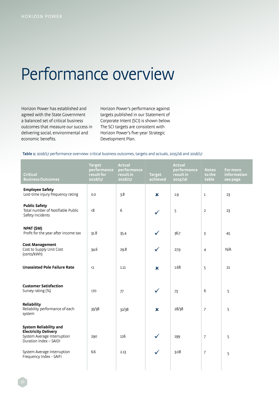# Performance overview

Horizon Power has established and agreed with the State Government a balanced set of critical business outcomes that measure our success in delivering social, environmental and economic benefits.

Horizon Power's performance against targets published in our Statement of Corporate Intent (SCI) is shown below. The SCI targets are consistent with Horizon Power's five-year Strategic Development Plan.

#### Table 1: 2016/17 performance overview: critical business outcomes, targets and actuals, 2015/16 and 2016/17

| <b>Critical</b><br><b>Business Outcomes</b>                                                                           | <b>Target</b><br>performance<br>result for<br>2016/17 | <b>Actual</b><br>performance<br>result in<br>2016/17 | <b>Target</b><br>achieved | <b>Actual</b><br>performance<br>result in<br>2015/16 | <b>Notes</b><br>to the<br>table | <b>For more</b><br>information<br>see page |
|-----------------------------------------------------------------------------------------------------------------------|-------------------------------------------------------|------------------------------------------------------|---------------------------|------------------------------------------------------|---------------------------------|--------------------------------------------|
| <b>Employee Safety</b><br>Lost-time injury frequency rating                                                           | 0.0                                                   | 3.8                                                  | $\mathbf x$               | 1.9                                                  | $\mathbf{1}$                    | 23                                         |
| <b>Public Safety</b><br>Total number of Notifiable Public<br>Safety Incidents                                         | $\langle 8$                                           | 6                                                    |                           | 5                                                    | $\overline{2}$                  | 23                                         |
| NPAT (\$M)<br>Profit for the year after income tax                                                                    | 31.8                                                  | 35.4                                                 |                           | 36.7                                                 | 3                               | 45                                         |
| <b>Cost Management</b><br>Cost to Supply Unit Cost<br>(cents/kWh)                                                     | 34.6                                                  | 29.8                                                 |                           | 27.9                                                 | $\overline{4}$                  | N/A                                        |
| <b>Unassisted Pole Failure Rate</b>                                                                                   | $\langle 1$                                           | 1.11                                                 | $\mathbf x$               | 1.68                                                 | 5                               | 21                                         |
| <b>Customer Satisfaction</b><br>Survey rating (%)                                                                     | 270                                                   | 77                                                   | ✓                         | 73                                                   | $6\,$                           | 5                                          |
| <b>Reliability</b><br>Reliability performance of each<br>system                                                       | 33/38                                                 | 32/38                                                | $\mathbf x$               | 28/38                                                | $\overline{7}$                  | 5                                          |
| <b>System Reliability and</b><br><b>Electricity Delivery</b><br>System Average Interruption<br>Duration Index - SAIDI | 290                                                   | 126                                                  | $\checkmark$              | 199                                                  | $\overline{7}$                  | 5                                          |
| System Average Interruption<br>Frequency Index - SAIFI                                                                | 6.6                                                   | 2.13                                                 |                           | 3.08                                                 | 7                               | 5                                          |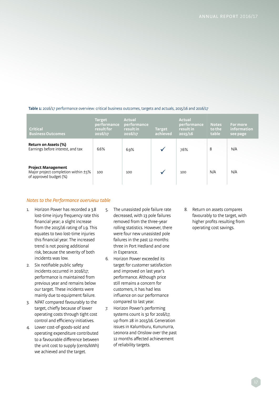| <b>Critical</b><br><b>Business Outcomes</b>                                                | <b>Target</b><br><b>performance</b><br>result for<br>2016/17 | <b>Actual</b><br>performance<br>result in<br>2016/17 | <b>Target</b><br>achieved | <b>Actual</b><br><b>performance</b><br>result in<br>2015/16 | <b>Notes</b><br>to the<br>table | For more<br>information<br>see page |
|--------------------------------------------------------------------------------------------|--------------------------------------------------------------|------------------------------------------------------|---------------------------|-------------------------------------------------------------|---------------------------------|-------------------------------------|
| Return on Assets (%)<br>Earnings before interest, and tax                                  | 6.6%                                                         | 6.9%                                                 |                           | 7.6%                                                        | 8                               | N/A                                 |
| <b>Project Management</b><br>Major project completion within ±5%<br>of approved budget (%) | 100                                                          | 100                                                  |                           | 100                                                         | N/A                             | N/A                                 |

#### Table 1: 2016/17 performance overview: critical business outcomes, targets and actuals, 2015/16 and 2016/17

# Notes to the Performance overview table

- 1. Horizon Power has recorded a 3.8 lost-time injury frequency rate this financial year; a slight increase from the 2015/16 rating of 1.9. This equates to two lost-time injuries this financial year. The increased trend is not posing additional risk, because the severity of both incidents was low.
- 2. Six notifiable public safety incidents occurred in 2016/17; performance is maintained from previous year and remains below our target. These incidents were mainly due to equipment failure.
- 3. NPAT compared favourably to the target, chiefly because of lower operating costs through tight cost control and efficiency initiatives.
- 4. Lower cost-of-goods-sold and operating expenditure contributed to a favourable difference between the unit cost to supply (cents/kWh) we achieved and the target.
- 5. The unassisted pole failure rate decreased, with 13 pole failures removed from the three-year rolling statistics. However, there were four new unassisted pole failures in the past 12 months: three in Port Hedland and one in Esperance.
- 6. Horizon Power exceeded its target for customer satisfaction and improved on last year's performance. Although price still remains a concern for customers, it has had less influence on our performance compared to last year.
- 7. Horizon Power's performing systems count is 32 for 2016/17, up from 28 in 2015/16. Generation issues in Kalumburu, Kununurra, Leonora and Onslow over the past 12 months affected achievement of reliability targets.

8. Return on assets compares favourably to the target, with higher profits resulting from operating cost savings.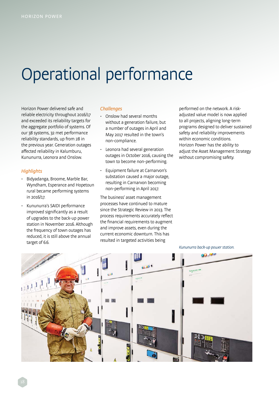# Operational performance

Horizon Power delivered safe and reliable electricity throughout 2016/17 and exceeded its reliability targets for the aggregate portfolio of systems. Of our 38 systems, 32 met performance reliability standards, up from 28 in the previous year. Generation outages affected reliability in Kalumburu, Kununurra, Leonora and Onslow.

#### **Highlights**

- Bidyadanga, Broome, Marble Bar, Wyndham, Esperance and Hopetoun rural became performing systems in 2016/17.
- Kununurra's SAIDI performance improved significantly as a result of upgrades to the back-up power station in November 2016. Although the frequency of town outages has reduced, it is still above the annual target of 6.6.

# **Challenges**

- Onslow had several months without a generation failure, but a number of outages in April and May 2017 resulted in the town's non-compliance.
- Leonora had several generation outages in October 2016, causing the town to become non-performing.
- Equipment failure at Carnarvon's substation caused a major outage, resulting in Carnarvon becoming non-performing in April 2017.

The business' asset management processes have continued to mature since the Strategic Review in 2013. The process requirements accurately reflect the financial requirements to augment and improve assets, even during the current economic downturn. This has resulted in targeted activities being

performed on the network. A riskadjusted value model is now applied to all projects, aligning long-term programs designed to deliver sustained safety and reliability improvements within economic conditions. Horizon Power has the ability to adjust the Asset Management Strategy without compromising safety.

Kununurra back-up power station.

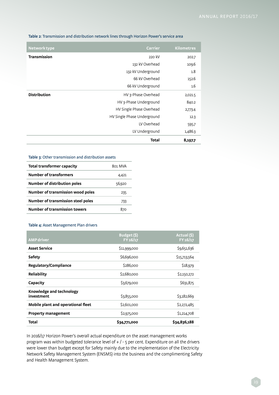| Network type        | <b>Carrier</b>              | <b>Kilometres</b> |
|---------------------|-----------------------------|-------------------|
| <b>Transmission</b> | 220 kV                      | 202.7             |
|                     | 132 kV Overhead             | 109.6             |
|                     | 132 kV Underground          | 1.8               |
|                     | 66 kV Overhead              | 152.6             |
|                     | 66 kV Underground           | 1.6               |
| <b>Distribution</b> | HV 3-Phase Overhead         | 2,021.5           |
|                     | HV 3-Phase Underground      | 840.2             |
|                     | HV Single Phase Overhead    | 2,773.4           |
|                     | HV Single Phase Underground | 12.3              |
|                     | LV Overhead                 | 595.7             |
|                     | LV Underground              | 1,486.3           |
|                     | <b>Total</b>                | 8,197.7           |

Table 2: Transmission and distribution network lines through Horizon Power's service area

#### Table 3: Other transmission and distribution assets

| <b>Total transformer capacity</b>         | 801 MVA |
|-------------------------------------------|---------|
| Number of transformers                    | 4,421   |
| Number of distribution poles              | 56,920  |
| Number of transmission wood poles         | 235     |
| <b>Number of transmission steel poles</b> | 733     |
| <b>Number of transmission towers</b>      | 870     |

#### Table 4: Asset Management Plan drivers

| <b>AMP driver</b>                      | Budget (\$)<br>FY 16/17 | Actual (\$)<br>FY 16/17 |
|----------------------------------------|-------------------------|-------------------------|
| <b>Asset Service</b>                   | \$11,999,000            | \$9,651,636             |
| <b>Safety</b>                          | \$6,696,000             | \$15,713,564            |
| <b>Regulatory/Compliance</b>           | \$286,000               | \$18,979                |
| <b>Reliability</b>                     | \$2,680,000             | \$2,150,272             |
| Capacity                               | \$3,679,000             | \$631,875               |
| Knowledge and technology<br>investment | \$3,855,000             | \$3,182,669             |
| Mobile plant and operational fleet     | \$2,601,000             | \$2,272,485             |
| <b>Property management</b>             | \$2,975,000             | \$1,214,708             |
| Total                                  | \$34,771,000            | \$34,836,188            |

In 2016/17 Horizon Power's overall actual expenditure on the asset management works program was within budgeted tolerance level of + / - 5 per cent. Expenditure on all the drivers were lower than budget except for Safety mainly due to the implementation of the Electricity Network Safety Management System (ENSMS) into the business and the complimenting Safety and Health Management System.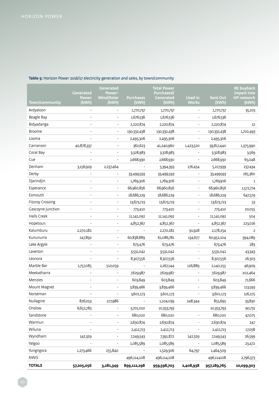|                         | <b>Generated</b><br>Power | <b>Generated</b><br>Power-<br><b>Wind/Solar</b> | <b>Purchases</b> | <b>Total Power</b><br>Purchased/<br>Generated | <b>Used in</b>               | <b>Sent Out</b> | <b>RE buyback</b><br>import into<br><b>HP network</b> |
|-------------------------|---------------------------|-------------------------------------------------|------------------|-----------------------------------------------|------------------------------|-----------------|-------------------------------------------------------|
| Town/community          | (kWh)                     | (kWh)                                           | (kWh)            | (kWh)                                         | <b>Works</b>                 | (kWh)           | (kWh)                                                 |
| Ardyaloon               |                           |                                                 | 1,770,737        | 1,770,737                                     |                              | 1,770,737       | 35,103                                                |
| Beagle Bay              |                           |                                                 | 1,676,536        | 1,676,536                                     |                              | 1,676,536       |                                                       |
| Bidyadanga              |                           | $\overline{a}$                                  | 2,220,874        | 2,220,874                                     |                              | 2,220,874       | 12                                                    |
| <b>Broome</b>           |                           | $\qquad \qquad \blacksquare$                    | 130,332,438      | 130,332,438                                   |                              | 130,332,438     | 1,702,493                                             |
| Looma                   |                           | $\overline{a}$                                  | 2,495,306        | 2,495,306                                     |                              | 2,495,306       |                                                       |
| Carnarvon               | 40,878,337                |                                                 | 362,623          | 41,240,960                                    | 1,423,520                    | 39,817,440      | 1,375,990                                             |
| Coral Bay               |                           |                                                 | 3,328,983        | 3,328,983                                     |                              | 3,328,983       | 3,569                                                 |
| Cue                     |                           |                                                 | 2,668,930        | 2,668,930                                     |                              | 2,668,930       | 65,048                                                |
| Denham                  | 3,156,929                 | 2,237,464                                       |                  | 5,394,393                                     | 176,454                      | 5,217,939       | 237,434                                               |
| Derby                   |                           |                                                 | 33,499,593       | 33,499,593                                    |                              | 33,499593       | 165,360                                               |
| Djarindjin              |                           | $\qquad \qquad \blacksquare$                    | 1,769,306        | 1,769,306                                     | $\qquad \qquad \blacksquare$ | 1,769306        | 1                                                     |
| Esperance               |                           | $\blacksquare$                                  | 66,960,856       | 66,960,856                                    |                              | 66,960,856      | 1,572,774                                             |
| Exmouth                 |                           | $\qquad \qquad \blacksquare$                    | 18,686,229       | 18,686,229                                    | ÷                            | 18,686,229      | 647,579                                               |
| <b>Fitzroy Crossing</b> |                           |                                                 | 13,673,723       | 13,673,723                                    |                              | 13,673,723      | 53                                                    |
| Gascoyne Junction       |                           | $\overline{\phantom{0}}$                        | 773,410          | 773,410                                       | $\qquad \qquad \blacksquare$ | 773,410         | 20,055                                                |
| Halls Creek             |                           | $\overline{\phantom{0}}$                        | 11,141,092       | 11,141,092                                    |                              | 11,141,092      | 504                                                   |
| Hopetoun                |                           | -                                               | 4,852,367        | 4,852,367                                     |                              | 4,852,367       | 223,016                                               |
| Kalumburu               | 2,270,182                 |                                                 |                  | 2,270,182                                     | 91,928                       | 2,178,254       | $\overline{2}$                                        |
| Kununurra               | 247,892                   | $\overline{\phantom{0}}$                        | 60,838,889       | 61,086,781                                    | 134,677                      | 60,952,104      | 394,089                                               |
| Lake Argyle             |                           | ÷                                               | 673,476          | 673,476                                       |                              | 673,476         | 283                                                   |
| Laverton                |                           | ۰                                               | 3,531,042        | 3,531,042                                     |                              | 3,531,042       | 43,343                                                |
| Leonora                 |                           |                                                 | 8,307,556        | 8,307,556                                     |                              | 8,307,556       | 26,303                                                |
| Marble Bar              | 1,757,085                 | 510,059                                         |                  | 2,267,144                                     | 126,889                      | 2,140,255       | 46,909                                                |
| Meekatharra             |                           |                                                 | 7,629,987        | 7,629,987                                     |                              | 7,629,987       | 202,464                                               |
| Menzies                 |                           | -                                               | 603,849          | 603,849                                       | $\overline{\phantom{a}}$     | 603,849         | 71,666                                                |
| Mount Magnet            |                           |                                                 | 3,839,466        | 3,839,466                                     |                              | 3,839,466       | 113,593                                               |
| Norseman                |                           |                                                 | 3,601,173        | 3,601,173                                     |                              | 3,601,173       | 116,275                                               |
| Nullagine               | 826,053                   | 277,986                                         |                  | 1,104,039                                     | 248,344                      | 855,695         | 33,830                                                |
| Onslow                  | 6,652,783                 |                                                 | 3,701,010        | 10,353,793                                    |                              | 10,353,793      | 90,731                                                |
| Sandstone               |                           |                                                 | 680,020          | 680,020                                       |                              | 680,020         | 47,075                                                |
| Warmun                  |                           | $\overline{\phantom{a}}$                        | 2,630,874        | 2,630,874                                     |                              | 2,630,874       | 247                                                   |
| Wiluna                  |                           | $\overline{\phantom{0}}$                        | 2,412,713        | 2,412,713                                     | -                            | 2,412,713       | 17,058                                                |
| Wyndham                 | 142,329                   | -                                               | 7,249,543        | 7,391,872                                     | 142,329                      | 7,249,543       | 26,599                                                |
| Yalgoo                  |                           |                                                 | 1,085,589        | 1,085,589                                     |                              | 1,085,589       | 23,472                                                |
| Yungngora               | 1,273,466                 | 255,840                                         |                  | 1,529,306                                     | 64,797                       | 1,464,509       |                                                       |
| <b>NWIS</b>             |                           |                                                 | 496,114,108      | 496,114,108                                   |                              | 496,114108      | 2,796,373                                             |
| <b>TOTALS</b>           | 57,205,056                | 3,281,349                                       | 899,112,298      | 959,598,703                                   | 2,408,938                    | 957,189,765     | 10,099,303                                            |

# **Table 5:** Horizon Power 2016/17 electricity generation and sales, by town/community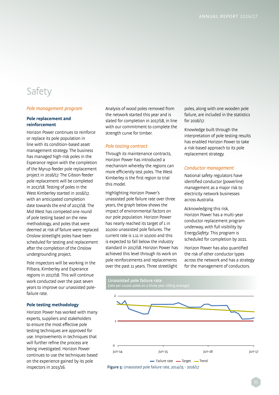# Safety

#### Pole management program

#### **Pole replacement and reinforcement**

Horizon Power continues to reinforce or replace its pole population in line with its condition-based asset management strategy. The business has managed high-risk poles in the Esperance region with the completion of the Myrup feeder pole replacement project in 2016/17. The Gibson feeder pole replacement will be completed in 2017/18. Testing of poles in the West Kimberley started in 2016/17, with an anticipated completion date towards the end of 2017/18. The Mid West has competed one round of pole testing based on the new methodology, and poles that were deemed at risk of failure were replaced. Onslow streetlight poles have been scheduled for testing and replacement after the completion of the Onslow undergrounding project.

Pole inspectors will be working in the Pilbara, Kimberley and Esperance regions in 2017/18. This will continue work conducted over the past seven years to improve our unassisted polefailure rate.

#### **Pole testing methodology**

Horizon Power has worked with many experts, suppliers and stakeholders to ensure the most effective pole testing techniques are approved for use. Improvements in techniques that will further refine the process are being investigated. Horizon Power continues to use the techniques based on the experience gained by its pole inspectors in 2015/16.

Analysis of wood poles removed from the network started this year and is slated for completion in 2017/18, in line with our commitment to complete the strength curve for timber.

#### Pole testing contract

Through its maintenance contracts, Horizon Power has introduced a mechanism whereby the regions can more efficiently test poles. The West Kimberley is the first region to trial this model.

Highlighting Horizon Power's unassisted pole failure rate over three years, the graph below shows the impact of environmental factors on our pole population. Horizon Power has nearly reached its target of 1 in 10,000 unassisted pole failures. The current rate is 1.11 in 10,000 and this is expected to fall below the industry standard in 2017/18. Horizon Power has achieved this level through its work on pole reinforcements and replacements over the past 11 years. Three streetlight

poles, along with one wooden pole failure, are included in the statistics for 2016/17.

Knowledge built through the interpretation of pole testing results has enabled Horizon Power to take a risk-based approach to its pole replacement strategy.

#### Conductor management

National safety regulators have identified conductor (powerline) management as a major risk to electricity network businesses across Australia.

Acknowledging this risk, Horizon Power has a multi-year conductor replacement program underway, with full visibility by EnergySafety. This program is scheduled for completion by 2021.

Horizon Power has also quantified the risk of other conductor types across the network and has a strategy for the management of conductors.

Unassisted pole failure rate (rate per 10,000 poles on a three year rolling average)



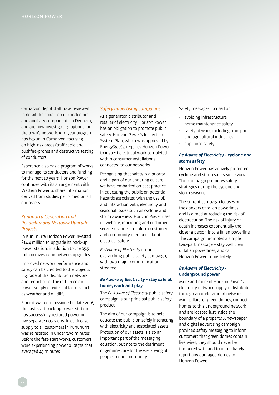Carnarvon depot staff have reviewed in detail the condition of conductors and ancillary components in Denham, and are now investigating options for the town's network. A 10 year program has begun in Carnarvon, focusing on high-risk areas (trafficable and bushfire-prone) and destructive testing of conductors.

Esperance also has a program of works to manage its conductors and funding for the next 10 years. Horizon Power continues with its arrangement with Western Power to share information derived from studies performed on all our assets.

# Kununurra Generation and Reliability and Network Upgrade **Projects**

In Kununurra Horizon Power invested \$14.4 million to upgrade its back-up power station, in addition to the \$5.5 million invested in network upgrades.

Improved network performance and safety can be credited to the project's upgrade of the distribution network and reduction of the influence on power supply of external factors such as weather and wildlife

Since it was commissioned in late 2016, the fast-start back-up power station has successfully restored power on five separate occasions. In each case, supply to all customers in Kununurra was reinstated in under two minutes. Before the fast-start works, customers were experiencing power outages that averaged 45 minutes.

#### Safety advertising campaigns

As a generator, distributor and retailer of electricity, Horizon Power has an obligation to promote public safety. Horizon Power's Inspection System Plan, which was approved by EnergySafety, requires Horizon Power to inspect electrical work completed within consumer installations connected to our networks.

Recognising that safety is a priority and a part of our enduring culture, we have embarked on best practice in educating the public on potential hazards associated with the use of, and interaction with, electricity and seasonal issues such as cyclone and storm awareness. Horizon Power uses its website, marketing and customer service channels to inform customers and community members about electrical safety.

Be Aware of Electricity is our overarching public safety campaign, with two major communication streams:

# **Be Aware of Electricity - stay safe at home, work and play**

The Be Aware of Electricity public safety campaign is our principal public safety product.

The aim of our campaign is to help educate the public on safely interacting with electricity and associated assets. Protection of our assets is also an important part of the messaging equation, but not to the detriment of genuine care for the well-being of people in our community.

Safety messages focused on:

- avoiding infrastructure
- home maintenance safety
- safety at work, including transport and agricultural industries
- appliance safety

# **Be Aware of Electricity - cyclone and storm safety**

Horizon Power has actively promoted cyclone and storm safety since 2007. This campaign promotes safety strategies during the cyclone and storm seasons.

The current campaign focuses on the dangers of fallen powerlines and is aimed at reducing the risk of electrocution. The risk of injury or death increases exponentially the closer a person is to a fallen powerline. The campaign promotes a simple, two-part message – stay well clear of fallen powerlines, and call Horizon Power immediately.

#### **Be Aware of Electricity underground power**

More and more of Horizon Power's electricity network supply is distributed through an underground network. Mini-pillars, or green domes, connect homes to this underground network and are located just inside the boundary of a property. A newspaper and digital advertising campaign provided safety messaging to inform customers that green domes contain live wires, they should never be tampered with and to immediately report any damaged domes to Horizon Power.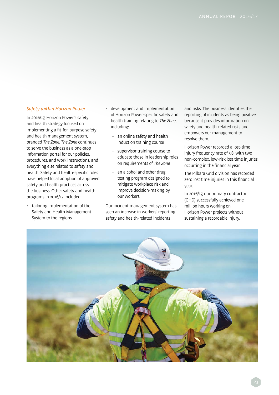# Safety within Horizon Power

In 2016/17, Horizon Power's safety and health strategy focused on implementing a fit-for-purpose safety and health management system, branded The Zone. The Zone continues to serve the business as a one-stop information portal for our policies, procedures, and work instructions, and everything else related to safety and health. Safety and health-specific roles have helped local adoption of approved safety and health practices across the business. Other safety and health programs in 2016/17 included:

• tailoring implementation of the Safety and Health Management System to the regions

- development and implementation of Horizon Power-specific safety and health training relating to The Zone, including:
	- an online safety and health induction training course
	- supervisor training course to educate those in leadership roles on requirements of The Zone
	- an alcohol and other drug testing program designed to mitigate workplace risk and improve decision-making by our workers.

Our incident management system has seen an increase in workers' reporting safety and health-related incidents

and risks. The business identifies the reporting of incidents as being positive because it provides information on safety and health-related risks and empowers our management to resolve them.

Horizon Power recorded a lost-time injury frequency rate of 3.8, with two non-complex, low-risk lost time injuries occurring in the financial year.

The Pilbara Grid division has recorded zero lost time injuries in this financial year.

In 2016/17, our primary contractor (GHD) successfully achieved one million hours working on Horizon Power projects without sustaining a recordable injury.

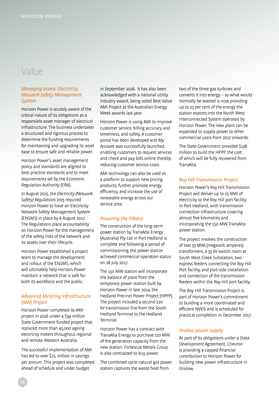# Value

# Managing assets: Electricity Network Safety Management System

Horizon Power is acutely aware of the critical nature of its obligations as a responsible asset manager of electrical infrastructure. The business undertakes a structured and rigorous process to determine the funding requirements for maintaining and upgrading its asset base to ensure safe and reliable power.

Horizon Power's asset management policy and standards are aligned to best-practice standards and to meet requirements set by the Economic Regulation Authority (ERA).

In August 2015, the Electricity (Network Safety) Regulations 2015 required Horizon Power to have an Electricity Network Safety Management System (ENSMS) in place by 6 August 2017. The Regulations place accountability on Horizon Power for the management of the safety risks of the network and its assets over their lifecycle.

Horizon Power established a project team to manage the development and rollout of the ENSMS, which will ultimately help Horizon Power maintain a network that is safe for both its workforce and the public.

# Advanced Metering Infrastructure (AMI) Project

Horizon Power completed its AMI project in 2016 under a \$34 million State Government-funded project that replaced more than 45,000 ageing electricity meters throughout regional and remote Western Australia.

The successful implementation of AMI has led to over \$7.5 million in savings per annum. This project was completed ahead of schedule and under budget

in September 2016. It has also been acknowledged with a national utility industry award, being voted Best Value AMI Project at the Australian Energy Week awards last year.

Horizon Power is using AMI to improve customer service, billing accuracy and timeliness, and safety. A customer portal has been developed and My Account was successfully launched, enabling customers to request services and check and pay bills online thereby reducing customer service costs.

AMI technology can also be used as a platform to support new pricing products, further promote energy efficiency, and increase the use of renewable energy across our service area.

#### Powering the Pilbara

The construction of the long-term power station by TransAlta Energy (Australia) Pty Ltd in Port Hedland is complete and following a period of commissioning, the power station achieved commercial operation status on 28 July 2017.

The 150 MW station will incorporate the balance of plant from the temporary power station built by Horizon Power in late 2014, the Hedland Precinct Power Project (HPPP). The project included a second 220 kV transmission line from the South Hedland Terminal to the Hedland Terminal.

Horizon Power has a contract with TransAlta Energy to purchase 110 MW of the generation capacity from the new station. Fortescue Metals Group is also contracted to buy power.

The combined-cycle natural gas power station captures the waste heat from

two of the three gas turbines and converts it into energy – so what would normally be wasted is now providing up to 25 per cent of the energy the station exports into the North West Interconnected System operated by Horizon Power. The new plant can be expanded to supply power to other commercial users from 2017 onwards.

The State Government provided \$138 million to build the HPPP, the cost of which will be fully recovered from TransAlta.

#### Roy Hill Transmission Project

Horizon Power's Roy Hill Transmission Project will deliver up to 25 MW of electricity to the Roy Hill port facility in Port Hedland, with transmission connection infrastructure covering almost five kilometres and incorporating the 150 MW TransAlta power station.

The project involves the construction of two 33 MVA (megavolt-amperes) transformers, a 33 kV switch room at South West Creek Substation, two express feeders connecting the Roy Hill Port facility, and port-side installation and connection of the transmission feeders within the Roy Hill port facility.

The Roy Hill Transmission Project is part of Horizon Power's commitment to building a more coordinated and efficient NWIS and is scheduled for practical completion in December 2017.

#### Onslow power supply

As part of its obligations under a State Development Agreement, Chevron is providing a capped financial contribution to Horizon Power for building new power infrastructure in Onslow.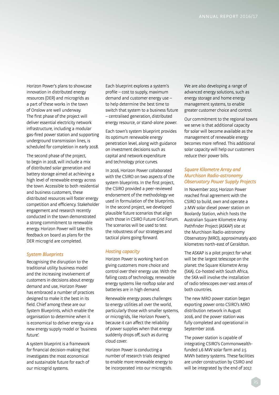Horizon Power's plans to showcase innovation in distributed energy resources (DER) and microgrids as a part of these works in the town of Onslow are well underway. The first phase of the project will deliver essential electricity network infrastructure, including a modular gas-fired power station and supporting underground transmission lines, is scheduled for completion in early 2018.

The second phase of the project, to begin in 2018, will include a mix of distributed solar generation and battery storage aimed at achieving a high level of renewable energy across the town. Accessible to both residential and business customers, these distributed resources will foster energy competition and efficiency. Stakeholder engagement and research recently conducted in the town demonstrated a strong commitment to renewable energy. Horizon Power will take this feedback on board as plans for the DER microgrid are completed.

#### System Blueprints

Recognising the disruption to the traditional utility business model and the increasing involvement of customers in decisions about energy demand and use, Horizon Power has embraced a number of practices designed to make it the best in its field. Chief among these are our System Blueprints, which enable the organisation to determine when it is economical to deliver energy via a new energy supply model or 'business future'.

A system blueprint is a framework for financial decision-making that investigates the most economical and sustainable future for each of our microgrid systems.

Each blueprint explores a system's profile – cost to supply, maximum demand and customer energy use – to help determine the best time to switch that system to a business future – centralised generation, distributed energy resource, or stand-alone power.

Each town's system blueprint provides its optimum renewable energy penetration level, along with guidance on investment decisions such as capital and network expenditure and technology price curves.

In 2016, Horizon Power collaborated with the CSIRO on two aspects of the system blueprints. In the first project, the CSIRO provided a peer-reviewed endorsement of the methodology we used in formulation of the blueprints. In the second project, we developed plausible future scenarios that align with those in CSIRO Future Grid Forum. The scenarios will be used to test the robustness of our strategies and tactical plans going forward.

# Hosting capacity

Horizon Power is working hard on giving customers more choice and control over their energy use. With the falling costs of technology, renewable energy systems like rooftop solar and batteries are in high demand.

Renewable energy poses challenges to energy utilities all over the world, particularly those with smaller systems, or microgrids, like Horizon Power's, because it can affect the reliability of power supplies when that energy suddenly drops off, such as during cloud cover.

Horizon Power is conducting a number of research trials designed to enable more renewable energy to be incorporated into our microgrids.

We are also developing a range of advanced energy solutions, such as energy storage and home energy management systems, to enable greater customer choice and control.

Our commitment to the regional towns we serve is that additional capacity for solar will become available as the management of renewable energy becomes more refined. This additional solar capacity will help our customers reduce their power bills.

# Square Kilometre Array and Murchison Radio-astronomy Observatory Power Supply Projects

In November 2015 Horizon Power reached final agreement with the CSIRO to build, own and operate a 2 MW solar diesel power station on Boolardy Station, which hosts the Australian Square Kilometre Array Pathfinder Project (ASKAP) site at the Murchison Radio-astronomy Observatory (MRO), approximately 400 kilometres north-east of Geraldton.

The ASKAP is a pilot project for what will be the largest telescope on the planet: the Square Kilometre Array (SKA). Co-hosted with South Africa, the SKA will involve the installation of radio telescopes over vast areas of both countries.

The new MRO power station began exporting power onto CSIRO's MRO distribution network in August 2016, and the power station was fully completed and operational in September 2016.

The power station is capable of integrating CSIRO's Commonwealthfunded 1.6 MW solar farm and 2.5 MWh battery systems. These facilities are under construction by CSIRO and will be integrated by the end of 2017.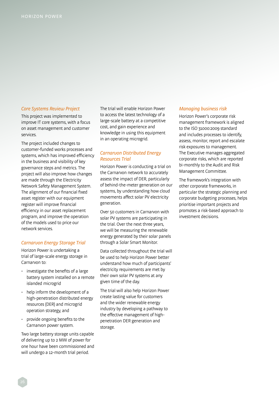#### Core Systems Review Project

This project was implemented to improve IT core systems, with a focus on asset management and customer services.

The project included changes to customer-funded works processes and systems, which has improved efficiency in the business and visibility of key governance steps and metrics. The project will also improve how changes are made through the Electricity Network Safety Management System. The alignment of our financial fixed asset register with our equipment register will improve financial efficiency in our asset replacement program, and improve the operation of the models used to price our network services.

#### Carnarvon Energy Storage Trial

Horizon Power is undertaking a trial of large-scale energy storage in Carnarvon to:

- investigate the benefits of a large battery system installed on a remote islanded microgrid
- help inform the development of a high-penetration distributed energy resources (DER) and microgrid operation strategy, and
- provide ongoing benefits to the Carnarvon power system.

Two large battery storage units capable of delivering up to 2 MW of power for one hour have been commissioned and will undergo a 12-month trial period.

The trial will enable Horizon Power to access the latest technology of a large-scale battery at a competitive cost, and gain experience and knowledge in using this equipment in an operating microgrid.

# Carnarvon Distributed Energy Resources Trial

Horizon Power is conducting a trial on the Carnarvon network to accurately assess the impact of DER, particularly of behind-the-meter generation on our systems, by understanding how cloud movements affect solar PV electricity generation.

Over 50 customers in Carnarvon with solar PV systems are participating in the trial. Over the next three years, we will be measuring the renewable energy generated by their solar panels through a Solar Smart Monitor.

Data collected throughout the trial will be used to help Horizon Power better understand how much of participants' electricity requirements are met by their own solar PV systems at any given time of the day.

The trial will also help Horizon Power create lasting value for customers and the wider renewable energy industry by developing a pathway to the effective management of highpenetration DER generation and storage.

#### Managing business risk

Horizon Power's corporate risk management framework is aligned to the ISO 31000:2009 standard and includes processes to identify, assess, monitor, report and escalate risk exposures to management. The Executive manages aggregated corporate risks, which are reported bi-monthly to the Audit and Risk Management Committee.

The framework's integration with other corporate frameworks, in particular the strategic planning and corporate budgeting processes, helps prioritise important projects and promotes a risk-based approach to investment decisions.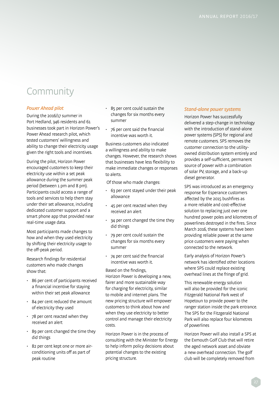# **Community**

# Power Ahead pilot

During the 2016/17 summer in Port Hedland, 346 residents and 61 businesses took part in Horizon Power's Power Ahead research pilot, which tested customers' willingness and ability to change their electricity usage given the right tools and incentives.

During the pilot, Horizon Power encouraged customers to keep their electricity use within a set peak allowance during the summer peak period (between 1 pm and 8 pm). Participants could access a range of tools and services to help them stay under their set allowance, including dedicated customer support and a smart phone app that provided near real-time usage data.

Most participants made changes to how and when they used electricity by shifting their electricity usage to the off-peak period.

Research findings for residential customers who made changes show that:

- 86 per cent of participants received a financial incentive for staying within their set peak allowance
- 84 per cent reduced the amount of electricity they used
- 78 per cent reacted when they received an alert
- 89 per cent changed the time they did things
- 82 per cent kept one or more airconditioning units off as part of peak routine
- 85 per cent could sustain the changes for six months every summer
- 76 per cent said the financial incentive was worth it.

Business customers also indicated a willingness and ability to make changes. However, the research shows that businesses have less flexibility to make immediate changes or responses to alerts.

Of those who made changes:

- 63 per cent stayed under their peak allowance
- 45 per cent reacted when they received an alert
- 34 per cent changed the time they did things
- 79 per cent could sustain the changes for six months every summer
- 74 per cent said the financial incentive was worth it.

Based on the findings, Horizon Power is developing a new, fairer and more sustainable way for charging for electricity, similar to mobile and internet plans. The new pricing structure will empower customers to think about how and when they use electricity to better control and manage their electricity costs.

Horizon Power is in the process of consulting with the Minister for Energy to help inform policy decisions about potential changes to the existing pricing structure.

# Stand-alone power systems

Horizon Power has successfully delivered a step-change in technology with the introduction of stand-alone power systems (SPS) for regional and remote customers. SPS removes the customer connection to the utilityowned distribution system entirely and provides a self-sufficient, permanent source of power with a combination of solar PV, storage, and a back-up diesel generator.

SPS was introduced as an emergency response for Esperance customers affected by the 2015 bushfires as a more reliable and cost-effective solution to replacing just over one hundred power poles and kilometres of powerlines destroyed in the fires. Since March 2016, these systems have been providing reliable power at the same price customers were paying when connected to the network.

Early analysis of Horizon Power's network has identified other locations where SPS could replace existing overhead lines at the fringe of grid.

This renewable energy solution will also be provided for the iconic Fitzgerald National Park west of Hopetoun to provide power to the ranger station inside the park entrance. The SPS for the Fitzgerald National Park will also replace four kilometres of powerlines

Horizon Power will also install a SPS at the Exmouth Golf Club that will retire the aged network asset and obviate a new overhead connection. The golf club will be completely removed from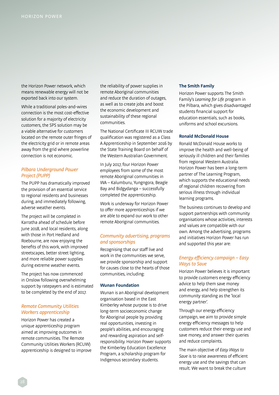the Horizon Power network, which means renewable energy will not be exported back into our system.

While a traditional poles-and-wires connection is the most cost-effective solution for a majority of electricity customers, the SPS solution may be a viable alternative for customers located on the remote outer fringes of the electricity grid or in remote areas away from the grid where powerline connection is not economic.

# Pilbara Underground Power Project (PUPP)

The PUPP has dramatically improved the provision of an essential service to regional residents and businesses during, and immediately following, adverse weather events.

The project will be completed in Karratha ahead of schedule before June 2018, and local residents, along with those in Port Hedland and Roebourne, are now enjoying the benefits of this work, with improved streetscapes, better street lighting, and more reliable power supplies during extreme weather events.

The project has now commenced in Onslow following overwhelming support by ratepayers and is estimated to be completed by the end of 2017.

#### Remote Community Utilities Workers apprenticeship

Horizon Power has created a unique apprenticeship program aimed at improving outcomes in remote communities. The Remote Community Utilities Workers (RCUW) apprenticeship is designed to improve the reliability of power supplies in remote Aboriginal communities and reduce the duration of outages, as well as to create jobs and boost the economic development and sustainability of these regional communities.

The National Certificate III RCUW trade qualification was registered as a Class A Apprenticeship in September 2016 by the State Training Board on behalf of the Western Australian Government.

In July 2017, four Horizon Power employees from some of the most remote Aboriginal communities in WA – Kalumburu, Yungngora, Beagle Bay and Bidgydanga – successfully completed the apprenticeship.

Work is underway for Horizon Power to offer more apprenticeships if we are able to expand our work to other remote Aboriginal communities.

#### Community advertising, programs and sponsorships

Recognising that our staff live and work in the communities we serve, we provide sponsorship and support for causes close to the hearts of those communities, including:

#### **Wunan Foundation**

Wunan is an Aboriginal development organisation based in the East Kimberley whose purpose is to drive long-term socioeconomic change for Aboriginal people by providing real opportunities, investing in people's abilities, and encouraging and rewarding aspiration and selfresponsibility. Horizon Power supports the Kimberley Education Excellence Program, a scholarship program for Indigenous secondary students.

#### **The Smith Family**

Horizon Power supports The Smith Family's Learning for Life program in the Pilbara, which gives disadvantaged students financial support for education essentials, such as books, uniforms and school excursions.

#### **Ronald McDonald House**

Ronald McDonald House works to improve the health and well-being of seriously ill children and their families from regional Western Australia. Horizon Power has been a long-term partner of The Learning Program, which supports the educational needs of regional children recovering from serious illness through individual learning programs.

The business continues to develop and support partnerships with community organisations whose activities, interests and values are compatible with our own. Among the advertising, programs and initiatives Horizon Power has run and supported this year are:

#### Energy efficiency campaign – Easy Ways to Save

Horizon Power believes it is important to provide customers energy efficiency advice to help them save money and energy, and help strengthen its community standing as the 'local energy partner'.

Through our energy efficiency campaign, we aim to provide simple energy efficiency messages to help customers reduce their energy use and save money, and answer their queries and reduce complaints.

The main objective of Easy Ways to Save is to raise awareness of efficient energy use and the savings that can result. We want to break the culture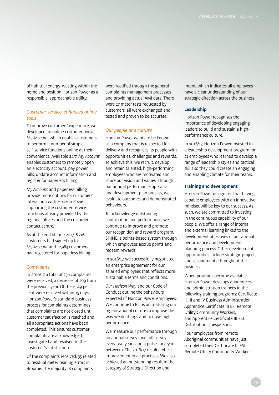of habitual energy-wasting within the home and position Horizon Power as a responsible, approachable utility.

# Customer service: enhanced online tools

To improve customers' experience, we developed an online customer portal, My Account, which enables customers to perform a number of simple, self-service functions online at their convenience. Available 24/7, My Account enables customers to remotely open an electricity account, pay power bills, update account information and register for paperless billing.

My Account and paperless billing provide more options for customers' interaction with Horizon Power, supporting the customer service functions already provided by the regional offices and the customer contact centre.

As at the end of June 2017, 6,216 customers had signed up for My Account and 12,983 customers had registered for paperless billing.

# **Complaints**

In 2016/17 a total of 256 complaints were received, a decrease of 209 from the previous year. Of these, 49 per cent were resolved within 15 days. Horizon Power's standard business process for complaints determines that complaints are not closed until customer satisfaction is reached and all appropriate actions have been completed. This ensures customer complaints are acknowledged, investigated and resolved to the customer's satisfaction.

Of the complaints received, 35 related to residual meter reading errors in Broome. The majority of complaints

were rectified through the general complaints management processes and providing actual AMI data. There were 27 meter tests requested by customers, all were exchanged and tested and proven to be accurate.

# Our people and culture

Horizon Power wants to be known as a company that is respected for delivery and recognises its people with opportunities, challenges and rewards. To achieve this, we recruit, develop and retain talented, high-performing employees who are motivated and share our vision and values. Through our annual performance appraisal and development plan process, we evaluate outcomes and demonstrated behaviours.

To acknowledge outstanding contribution and performance, we continue to improve and promote our recognition and reward program, SHINE, a points-based system through which employees accrue points and redeem rewards.

In 2016/17, we successfully negotiated an enterprise agreement for our salaried employees that reflects more sustainable terms and conditions.

Our Horizon Way and our Code of Conduct outline the behaviours expected of Horizon Power employees. We continue to focus on maturing our organisational culture to improve the way we do things and to drive high performance.

We measure our performance through an annual survey (one full survey every two years and a pulse survey in between). The 2016/17 results reflect improvement in all practices. We also achieved an outstanding result in the category of Strategic Direction and

Intent, which indicates all employees have a clear understanding of our strategic direction across the business.

#### **Leadership**

Horizon Power recognises the importance of developing engaging leaders to build and sustain a highperformance culture.

In 2016/17, Horizon Power invested in a leadership development program for 21 employees who learned to develop a range of leadership styles and tactical skills so they could create an engaging and enabling climate for their teams.

#### **Training and development**

Horizon Power recognises that having capable employees with an innovative mindset will be key to our success. As such, we are committed to investing in the continuous capability of our people. We offer a range of internal and external learning linked to the development objectives of our annual performance and development planning process. Other development opportunities include strategic projects and secondments throughout the business.

When positions become available, Horizon Power develops apprentices and administration trainees in the following training programs: Certificate II, III and IV Business Administration; Apprentice Certificate III ESI Remote Utility Community Workers; and Apprentice Certificate III ESI Distribution Linespersons.

Four employees from remote Aboriginal communities have just completed their Certificate III ESI Remote Utility Community Workers.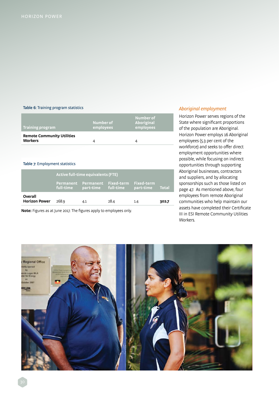#### Table 6: Training program statistics

| <b>Training program</b>                             | Number of<br>employees | <b>Number of</b><br>Aboriginal<br>employees |
|-----------------------------------------------------|------------------------|---------------------------------------------|
| <b>Remote Community Utilities</b><br><b>Workers</b> |                        |                                             |
|                                                     |                        |                                             |

#### Table 7: Employment statistics

|                                 | Active full-time equivalents (FTE) |                             |                                           |           |              |  |
|---------------------------------|------------------------------------|-----------------------------|-------------------------------------------|-----------|--------------|--|
|                                 | full-time                          | part-time full- <u>time</u> | Permanent Permanent Fixed-term Fixed-term | part-time | <b>Total</b> |  |
| Overall<br><b>Horizon Power</b> | 268.9                              | 4.1                         | 28.4                                      | 1.4       | 302.7        |  |

**Note:** Figures as at June 2017. The figures apply to employees only.

#### Aboriginal employment

Horizon Power serves regions of the State where significant proportions of the population are Aboriginal. Horizon Power employs 16 Aboriginal employees (5.3 per cent of the workforce) and seeks to offer direct employment opportunities where possible, while focusing on indirect opportunities through supporting Aboriginal businesses, contractors and suppliers, and by allocating sponsorships such as those listed on page 47. As mentioned above, four employees from remote Aboriginal communities who help maintain our assets have completed their Certificate III in ESI Remote Community Utilities Workers.

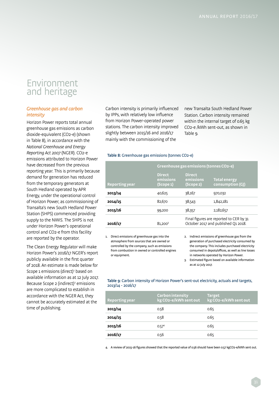# Environment and heritage

# Greenhouse gas and carbon intensity

Horizon Power reports total annual greenhouse gas emissions as carbon dioxide-equivalent (CO2-e) (shown in Table 8), in accordance with the National Greenhouse and Energy Reporting Act 2007 (NGER). CO2-e emissions attributed to Horizon Power have decreased from the previous reporting year. This is primarily because demand for generation has reduced from the temporary generators at South Hedland operated by APR Energy, under the operational control of Horizon Power, as commissioning of Transalta's new South Hedland Power Station (SHPS) commenced providing supply to the NWIS. The SHPS is not under Horizon Power's operational control and CO2-e from this facility are reported by the operator.

The Clean Energy Regulator will make Horizon Power's 2016/17 NGER's report publicly available in the first quarter of 2018. An estimate is made below for Scope 1 emissions (direct)<sup>1</sup> based on available information as at 12 July 2017. Because Scope 2 (indirect)<sup>2</sup> emissions are more complicated to establish in accordance with the NGER Act, they cannot be accurately estimated at the time of publishing.

Carbon intensity is primarily influenced by IPPs, with relatively low influence from Horizon Power-operated power stations. The carbon intensity improved slightly between 2015/16 and 2016/17 mainly with the commissioning of the

new Transalta South Hedland Power Station. Carbon intensity remained within the internal target of 0.65 kg CO2-e /kWh sent-out, as shown in Table 9.

#### Table 8: Greenhouse gas emissions (tonnes CO2-e)

|                       | Greenhouse gas emissions (tonnes CO2-e) |                                                                                |                                         |  |  |  |
|-----------------------|-----------------------------------------|--------------------------------------------------------------------------------|-----------------------------------------|--|--|--|
| <b>Reporting year</b> | <b>Direct</b><br>emissions<br>(Scope 1) | <b>Direct</b><br>emissions<br>(Scope 2)                                        | <b>Total energy</b><br>consumption (GJ) |  |  |  |
| 2013/14               | 40,625                                  | 38,167                                                                         | 970,032                                 |  |  |  |
| 2014/15               | 82,670                                  | 38,543                                                                         | 1,842,181                               |  |  |  |
| 2015/16               | 99,200                                  | 38,357                                                                         | 2,182,657                               |  |  |  |
| 2016/17               | 81,2003                                 | Final figures are reported to CER by 31<br>October 2017 and published Q1 2018. |                                         |  |  |  |

1. Direct emissions of greenhouse gas into the atmosphere from sources that are owned or controlled by the company, such as emissions from combustion in owned or controlled engines or equipment.

- 2. Indirect emissions of greenhouse gas from the generation of purchased electricity consumed by the company. This includes purchased electricity consumed in depots/offices, as well as line losses in networks operated by Horizon Power.
- 3. Estimated figure based on available information as at 12 July 2017.

#### Table 9: Carbon intensity of Horizon Power's sent-out electricity, actuals and targets, 2013/14 - 2016/17

| <b>Reporting year</b> | <b>Carbon intensity</b><br>kg CO2-e/kWh sent out | <b>Target</b><br>kg CO2-e/kWh sent out |
|-----------------------|--------------------------------------------------|----------------------------------------|
| 2013/14               | 0.58                                             | 0.65                                   |
| 2014/15               | 0.58                                             | 0.65                                   |
| 2015/16               | 0.57 <sup>4</sup>                                | 0.65                                   |
| 2016/17               | 0.56                                             | 0.65                                   |
|                       |                                                  |                                        |

4. A review of 2015-16 figures showed that the reported value of 0.56 should have been 0.57 kgCO2-e/kWh sent out.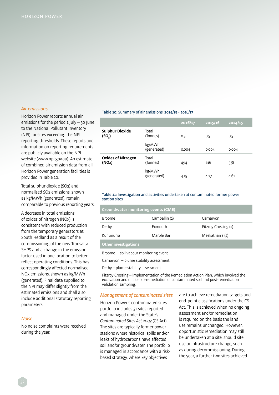#### Air emissions

Horizon Power reports annual air emissions for the period  $1$  July – 30 June to the National Pollutant Inventory (NPI) for sites exceeding the NPI reporting thresholds. These reports and information on reporting requirements are publicly available on the NPI website (www.npi.gov.au). An estimate of combined air emission data from all Horizon Power generation facilities is provided in Table 10.

Total sulphur dioxide (SO2) and normalised SO2 emissions, shown as kg/MWh (generated), remain comparable to previous reporting years.

A decrease in total emissions of oxides of nitrogen (NOx) is consistent with reduced production from the temporary generators at South Hedland as a result of the commissioning of the new Transalta SHPS and a change in the emission factor used in one location to better reflect operating conditions. This has correspondingly affected normalised NOx emissions, shown as kg/MWh (generated). Final data supplied to the NPI may differ slightly from the estimated emissions and shall also include additional statutory reporting parameters.

#### **Noise**

No noise complaints were received during the year.

#### Table 10: Summary of air emissions, 2014/15 - 2016/17

|                                              |                       | 2016/17 | 2015/16 | 2014/15 |
|----------------------------------------------|-----------------------|---------|---------|---------|
| <b>Sulphur Dioxide</b><br>(SO <sub>2</sub> ) | Total<br>(Tonnes)     | 0.5     | 0.5     | 0.5     |
|                                              | kg/MWh<br>(generated) | 0.004   | 0.004   | 0.004   |
| <b>Oxides of Nitrogen</b><br>(NOx)           | Total<br>(Tonnes)     | 494     | 616     | 538     |
|                                              | kg/MWh<br>(generated) | 4.19    | 4.27    | 4.61    |

#### Table 11: Investigation and activities undertaken at contaminated former power station sites

| <b>Groundwater monitoring events (GME)</b> |               |                      |  |
|--------------------------------------------|---------------|----------------------|--|
| <b>Broome</b>                              | Camballin (2) | Carnarvon            |  |
| Derby                                      | Exmouth       | Fitzroy Crossing (2) |  |
| Kununurra                                  | Marble Bar    | Meekatharra (2)      |  |
|                                            |               |                      |  |

**Other investigations**

Broome – soil vapour monitoring event

Carnarvon – plume stability assessment

Derby – plume stability assessment

Fitzroy Crossing – implementation of the Remediation Action Plan, which involved the excavation and offsite bio-remediation of contaminated soil and post-remediation validation sampling.

# Management of contaminated sites

Horizon Power's contaminated sites portfolio includes 31 sites reported and managed under the State's Contaminated Sites Act 2003 (CS Act). The sites are typically former power stations where historical spills and/or leaks of hydrocarbons have affected soil and/or groundwater. The portfolio is managed in accordance with a riskbased strategy, where key objectives

are to achieve remediation targets and end-point classifications under the CS Act. This is achieved when no ongoing assessment and/or remediation is required on the basis the land use remains unchanged. However, opportunistic remediation may still be undertaken at a site, should site use or infrastructure change, such as during decommissioning. During the year, a further two sites achieved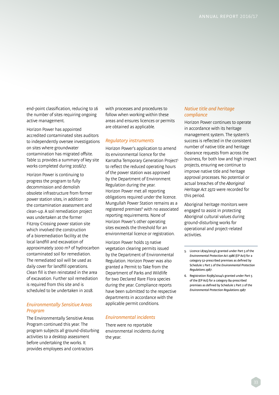end-point classification, reducing to 16 the number of sites requiring ongoing active management.

Horizon Power has appointed accredited contaminated sites auditors to independently oversee investigations on sites where groundwater contamination has migrated offsite. Table 11 provides a summary of key site works completed during 2016/17.

Horizon Power is continuing to progress the program to fully decommission and demolish obsolete infrastructure from former power station sites, in addition to the contamination assessment and clean-up. A soil remediation project was undertaken at the former Fitzroy Crossing power station site which involved the construction of a bioremediation facility at the local landfill and excavation of approximately 1000 m<sup>3</sup> of hydrocarbon contaminated soil for remediation. The remediated soil will be used as daily cover for landfill operations. Clean fill is then reinstated in the area of excavation. Further soil remediation is required from this site and is scheduled to be undertaken in 2018.

# Environmentally Sensitive Areas Program

The Environmentally Sensitive Areas Program continued this year. The program subjects all ground-disturbing activities to a desktop assessment before undertaking the works. It provides employees and contractors

with processes and procedures to follow when working within these areas and ensures licences or permits are obtained as applicable.

#### Regulatory instruments

Horizon Power's application to amend its environmental licence for the Karratha Temporary Generation Project<sup>5</sup> to reflect the reduced operating hours of the power station was approved by the Department of Environment Regulation during the year. Horizon Power met all reporting obligations required under the licence. Mungullah Power Station remains as a registered premises<sup>6</sup> with no associated reporting requirements. None of Horizon Power's other operating sites exceeds the threshold for an environmental licence or registration.

Horizon Power holds 13 native vegetation clearing permits issued by the Department of Environmental Regulation. Horizon Power was also granted a Permit to Take from the Department of Parks and Wildlife for two Declared Rare Flora species during the year. Compliance reports have been submitted to the respective departments in accordance with the applicable permit conditions.

# Environmental incidents

There were no reportable environmental incidents during the year.

# Native title and heritage compliance

Horizon Power continues to operate in accordance with its heritage management system. The system's success is reflected in the consistent number of native title and heritage clearance requests from across the business, for both low and high impact projects, ensuring we continue to improve native title and heritage approval processes. No potential or actual breaches of the Aboriginal Heritage Act 1972 were recorded for this period.

Aboriginal heritage monitors were engaged to assist in protecting Aboriginal cultural values during ground-disturbing works for operational and project-related activities.

- 5. Licence L8745/2013/1 granted under Part 5 of the Environmental Protection Act 1986 (EP Act) for a category 52-prescribed premises as defined by Schedule 1 Part 1 of the Environmental Protection Regulations 1987.
- 6. Registration R2385/2014/1 granted under Part 5 of the (EP Act) for a category 84-prescribed premises as defined by Schedule 1 Part 2 of the Environmental Protection Regulations 1987.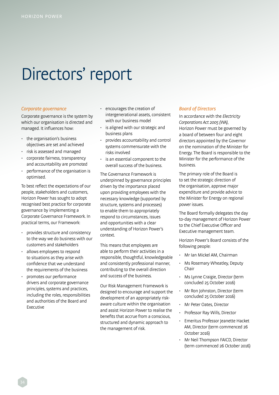# Directors' report

#### Corporate governance

Corporate governance is the system by which our organisation is directed and managed. It influences how:

- the organisation's business objectives are set and achieved
- risk is assessed and managed
- corporate fairness, transparency and accountability are promoted
- performance of the organisation is optimised.

To best reflect the expectations of our people, stakeholders and customers, Horizon Power has sought to adopt recognised best practice for corporate governance by implementing a Corporate Governance Framework. In practical terms, our Framework:

- provides structure and consistency to the way we do business with our customers and stakeholders
- allows employees to respond to situations as they arise with confidence that we understand the requirements of the business
- promotes our performance drivers and corporate governance principles, systems and practices, including the roles, responsibilities and authorities of the Board and Executive
- encourages the creation of intergenerational assets, consistent with our business model
- is aligned with our strategic and business plans
- provides accountability and control systems commensurate with the risks involved
- is an essential component to the overall success of the business.

The Governance Framework is underpinned by governance principles driven by the importance placed upon providing employees with the necessary knowledge (supported by structure, systems and processes) to enable them to appropriately respond to circumstances, issues and opportunities with a clear understanding of Horizon Power's context.

This means that employees are able to perform their activities in a responsible, thoughtful, knowledgeable and consistently professional manner, contributing to the overall direction and success of the business.

Our Risk Management Framework is designed to encourage and support the development of an appropriately riskaware culture within the organisation and assist Horizon Power to realise the benefits that accrue from a conscious, structured and dynamic approach to the management of risk.

#### Board of Directors

In accordance with the Electricity Corporations Act 2005 (WA), Horizon Power must be governed by a board of between four and eight directors appointed by the Governor on the nomination of the Minister for Energy. The Board is responsible to the Minister for the performance of the business.

The primary role of the Board is to set the strategic direction of the organisation, approve major expenditure and provide advice to the Minister for Energy on regional power issues.

The Board formally delegates the day to-day management of Horizon Power to the Chief Executive Officer and Executive management team.

Horizon Power's Board consists of the following people:

- Mr Ian Mickel AM, Chairman
- Ms Rosemary Wheatley, Deputy Chair
- Ms Lynne Craigie, Director (term concluded 25 October 2016)
- Mr Ron Johnston, Director (term concluded 25 October 2016)
- Mr Peter Oates, Director
- Professor Ray Wills, Director
- Emeritus Professor Jeanette Hacket AM, Director (term commenced 26 October 2016)
- Mr Neil Thompson FAICD, Director (term commenced 26 October 2016)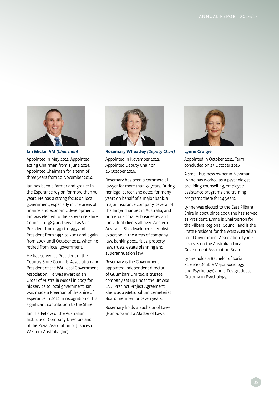

**Ian Mickel AM (Chairman)** Appointed in May 2011. Appointed acting Chairman from 1 June 2014. Appointed Chairman for a term of

three years from 10 November 2014.

Ian has been a farmer and grazier in the Esperance region for more than 30 years. He has a strong focus on local government, especially in the areas of finance and economic development. Ian was elected to the Esperance Shire Council in 1989 and served as Vice President from 1991 to 1993 and as President from 1994 to 2001 and again from 2003 until October 2011, when he retired from local government.

He has served as President of the Country Shire Councils' Association and President of the WA Local Government Association. He was awarded an Order of Australia Medal in 2007 for his service to local government. Ian was made a Freeman of the Shire of Esperance in 2012 in recognition of his significant contribution to the Shire.

Ian is a Fellow of the Australian Institute of Company Directors and of the Royal Association of Justices of Western Australia (Inc).



**Rosemary Wheatley** (Deputy Chair)

Appointed in November 2012. Appointed Deputy Chair on 26 October 2016.

Rosemary has been a commercial lawyer for more than 35 years. During her legal career, she acted for many years on behalf of a major bank, a major insurance company, several of the larger charities in Australia, and numerous smaller businesses and individual clients all over Western Australia. She developed specialist expertise in the areas of company law, banking securities, property law, trusts, estate planning and superannuation law.

Rosemary is the Governmentappointed independent director of Guumbarr Limited, a trustee company set up under the Browse LNG Precinct Project Agreement. She was a Metropolitan Cemeteries Board member for seven years.

Rosemary holds a Bachelor of Laws (Honours) and a Master of Laws.



**Lynne Craigie** Appointed in October 2011. Term concluded on 25 October 2016.

A small business owner in Newman, Lynne has worked as a psychologist providing counselling, employee assistance programs and training programs there for 14 years.

Lynne was elected to the East Pilbara Shire in 2003; since 2005 she has served as President. Lynne is Chairperson for the Pilbara Regional Council and is the State President for the West Australian Local Government Association. Lynne also sits on the Australian Local Government Association Board.

Lynne holds a Bachelor of Social Science (Double Major Sociology and Psychology) and a Postgraduate Diploma in Psychology.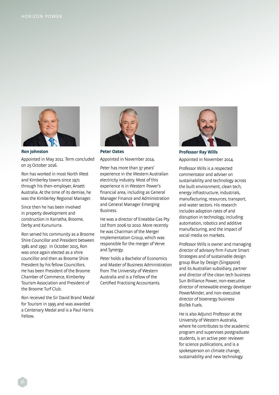

**Ron Johnston** Appointed in May 2011. Term concluded on 25 October 2016.

Ron has worked in most North West and Kimberley towns since 1971 through his then-employer, Ansett Australia. At the time of its demise, he was the Kimberley Regional Manager.

Since then he has been involved in property development and construction in Karratha, Broome, Derby and Kununurra.

Ron served his community as a Broome Shire Councillor and President between 1981 and 1997. In October 2015, Ron was once again elected as a shire councillor and then as Broome Shire President by his fellow Councillors. He has been President of the Broome Chamber of Commerce, Kimberley Tourism Association and President of the Broome Turf Club.

Ron received the Sir David Brand Medal for Tourism in 1995 and was awarded a Centenary Medal and is a Paul Harris Fellow.



**Peter Oates** Appointed in November 2014.

Peter has more than 37 years' experience in the Western Australian electricity industry. Most of this experience is in Western Power's financial area, including as General Manager Finance and Administration and General Manager Emerging Business.

He was a director of Eneabba Gas Pty Ltd from 2006 to 2010. More recently he was Chairman of the Merger Implementation Group, which was responsible for the merger of Verve and Synergy.

Peter holds a Bachelor of Economics and Master of Business Administration from The University of Western Australia and is a Fellow of the Certified Practising Accountants.



**Professor Ray Wills** Appointed in November 2014.

Professor Wills is a respected commentator and adviser on sustainability and technology across the built environment, clean tech, energy infrastructure, industrials, manufacturing, resources, transport, and water sectors. His research includes adoption rates of and disruption in technology, including automation, robotics and additive manufacturing, and the impact of social media on markets.

Professor Wills is owner and managing director of advisory firm Future Smart Strategies and of sustainable design group Blue by Design (Singapore) and its Australian subsidiary, partner and director of the clean tech business Sun Brilliance Power, non-executive director of renewable energy developer PowerMinder, and non-executive director of bioenergy business BioTek Fuels.

He is also Adjunct Professor at the University of Western Australia, where he contributes to the academic program and supervises postgraduate students, is an active peer reviewer for science publications, and is a spokesperson on climate change, sustainability and new technology.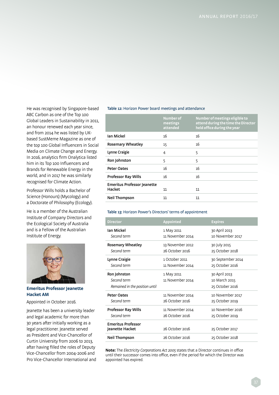He was recognised by Singapore-based ABC Carbon as one of the Top 100 Global Leaders in Sustainability in 2011, an honour renewed each year since, and from 2014 he was listed by UKbased SustMeme Magazine as one of the top 100 Global Influencers in Social Media on Climate Change and Energy. In 2016, analytics firm Onalytica listed him in its Top 100 Influencers and Brands for Renewable Energy in the world, and in 2017 he was similarly recognised for Climate Action.

Professor Wills holds a Bachelor of Science (Honours) (Mycology) and a Doctorate of Philosophy (Ecology).

He is a member of the Australian Institute of Company Directors and the Ecological Society of Australia and is a Fellow of the Australian Institute of Energy.



**Emeritus Professor Jeanette Hacket AM**

Appointed in October 2016.

Jeanette has been a university leader and legal academic for more than 30 years after initially working as a legal practitioner. Jeanette served as President and Vice-Chancellor of Curtin University from 2006 to 2013, after having filled the roles of Deputy Vice-Chancellor from 2004-2006 and Pro Vice-Chancellor International and Table 12: Horizon Power board meetings and attendance

|                                              | <b>Number of</b><br>meetings<br>attended | Number of meetings eligible to<br>attend during the time the Director<br>held office during the year |
|----------------------------------------------|------------------------------------------|------------------------------------------------------------------------------------------------------|
| Ian Mickel                                   | 16                                       | 16                                                                                                   |
| <b>Rosemary Wheatley</b>                     | 15                                       | 16                                                                                                   |
| Lynne Craigie                                | 4                                        | 5                                                                                                    |
| Ron Johnston                                 | 5                                        | 5                                                                                                    |
| <b>Peter Oates</b>                           | 16                                       | 16                                                                                                   |
| Professor Ray Wills                          | 16                                       | 16                                                                                                   |
| <b>Emeritus Professor Jeanette</b><br>Hacket | 11                                       | 11                                                                                                   |
| <b>Neil Thompson</b>                         | 11                                       | 11                                                                                                   |

#### Table 13: Horizon Power's Directors' terms of appointment

| <b>Director</b>                                               | <b>Appointed</b>               | <b>Expires</b>                                    |
|---------------------------------------------------------------|--------------------------------|---------------------------------------------------|
| Ian Mickel                                                    | 1 May 2011                     | 30 April 2013                                     |
| Second term                                                   | 11 November 2014               | 10 November 2017                                  |
| <b>Rosemary Wheatley</b>                                      | 13 November 2012               | 30 July 2015                                      |
| Second term                                                   | 26 October 2016                | 25 October 2018                                   |
| Lynne Craigie                                                 | 1 October 2011                 | 30 September 2014                                 |
| Second term                                                   | 11 November 2014               | 25 October 2016                                   |
| Ron Johnston<br>Second term<br>Remained in the position until | 1 May 2011<br>11 November 2014 | 30 April 2013<br>10 March 2015<br>25 October 2016 |
| <b>Peter Oates</b>                                            | 11 November 2014               | 10 November 2017                                  |
| Second term                                                   | 26 October 2016                | 25 October 2019                                   |
| <b>Professor Ray Wills</b>                                    | 11 November 2014               | 10 November 2016                                  |
| Second term                                                   | 26 October 2016                | 25 October 2019                                   |
| <b>Emeritus Professor</b><br>Jeanette Hacket                  | 26 October 2016                | 25 October 2017                                   |
| Neil Thompson                                                 | 26 October 2016                | 25 October 2018                                   |

**Note:** The Electricity Corporations Act 2005 states that a Director continues in office until their successor comes into office, even if the period for which the Director was appointed has expired.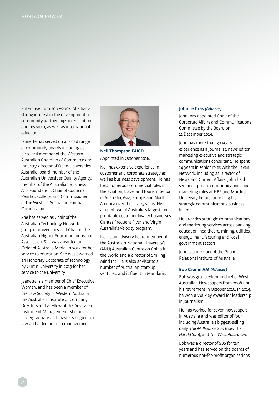Enterprise from 2002-2004. She has a strong interest in the development of community partnerships in education and research, as well as international education.

Jeanette has served on a broad range of community boards including as a council member of the Western Australian Chamber of Commerce and Industry, director of Open Universities Australia, board member of the Australian Universities Quality Agency, member of the Australian Business Arts Foundation, Chair of Council of Penrhos College, and Commissioner of the Western Australian Football Commission.

She has served as Chair of the Australian Technology Network group of universities and Chair of the Australian Higher Education Industrial Association. She was awarded an Order of Australia Medal in 2012 for her service to education. She was awarded an Honorary Doctorate of Technology by Curtin University in 2013 for her service to the university.

Jeanette is a member of Chief Executive Women, and has been a member of the Law Society of Western Australia, the Australian Institute of Company Directors and a fellow of the Australian Institute of Management. She holds undergraduate and master's degrees in law and a doctorate in management.



**Neil Thompson FAICD** Appointed in October 2016.

Neil has extensive experience in customer and corporate strategy as well as business development. He has held numerous commercial roles in the aviation, travel and tourism sector in Australia, Asia, Europe and North America over the last 25 years. Neil also led two of Australia's largest, most profitable customer loyalty businesses, Qantas Frequent Flyer and Virgin Australia's Velocity program.

Neil is an advisory board member of the Australian National University's (ANU) Australian Centre on China in the World and a director of Smiling Mind Inc. He is also advisor to a number of Australian start-up ventures, and is fluent in Mandarin.

#### **John Le Cras** (Adviser)

John was appointed Chair of the Corporate Affairs and Communications Committee by the Board on 11 December 2014.

John has more than 30 years' experience as a journalist, news editor, marketing executive and strategic communications consultant. He spent 14 years in senior roles with the Seven Network, including as Director of News and Current Affairs. John held senior corporate communications and marketing roles at HBF and Murdoch University before launching his strategic communications business in 2011.

He provides strategic communications and marketing services across banking, education, healthcare, mining, utilities, energy, manufacturing and local government sectors.

John is a member of the Public Relations Institute of Australia.

#### **Bob Cronin AM (Adviser)**

Bob was group editor in chief of West Australian Newspapers from 2008 until his retirement in October 2016. In 2014, he won a Walkley Award for leadership in journalism.

He has worked for seven newspapers in Australia and was editor of four, including Australia's biggest-selling daily, The Melbourne Sun (now the Herald Sun), and The West Australian.

Bob was a director of SBS for ten years and has served on the boards of numerous not-for-profit organisations.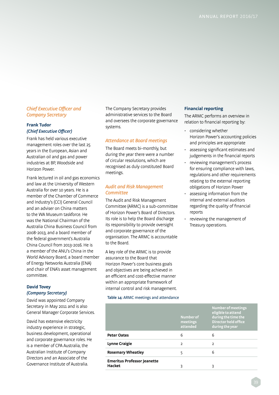# Chief Executive Officer and Company Secretary

# **Frank Tudor**  (Chief Executive Officer)

Frank has held various executive management roles over the last 25 years in the European, Asian and Australian oil and gas and power industries at BP, Woodside and Horizon Power.

Frank lectured in oil and gas economics and law at the University of Western Australia for over 10 years. He is a member of the Chamber of Commerce and Industry's (CCI) General Council and an adviser on China matters to the WA Museum taskforce. He was the National Chairman of the Australia China Business Council from 2008-2013, and a board member of the federal government's Australia China Council from 2013-2016. He is a member of the ANU's China in the World Advisory Board, a board member of Energy Networks Australia (ENA) and chair of ENA's asset management committee.

#### **David Tovey** (Company Secretary)

David was appointed Company Secretary in May 2011 and is also General Manager Corporate Services.

David has extensive electricity industry experience in strategic, business development, operational and corporate governance roles. He is a member of CPA Australia, the Australian Institute of Company Directors and an Associate of the Governance Institute of Australia.

The Company Secretary provides administrative services to the Board and oversees the corporate governance systems.

#### Attendance at Board meetings

The Board meets bi-monthly, but during the year there were a number of circular resolutions, which are recognised as duly constituted Board meetings.

# Audit and Risk Management **Committee**

The Audit and Risk Management Committee (ARMC) is a sub-committee of Horizon Power's Board of Directors. Its role is to help the Board discharge its responsibility to provide oversight and corporate governance of the organisation. The ARMC is accountable to the Board.

A key role of the ARMC is to provide assurance to the Board that Horizon Power's core business goals and objectives are being achieved in an efficient and cost-effective manner within an appropriate framework of internal control and risk management.

#### Table 14: ARMC meetings and attendance

#### **Financial reporting**

The ARMC performs an overview in relation to financial reporting by:

- considering whether Horizon Power's accounting policies and principles are appropriate
- assessing significant estimates and judgements in the financial reports
- reviewing management's process for ensuring compliance with laws, regulations and other requirements relating to the external reporting obligations of Horizon Power
- assessing information from the internal and external auditors regarding the quality of financial reports
- reviewing the management of Treasury operations.

|                                                     | <b>Number of</b><br>meetings<br>attended | <b>Number of meetings</b><br>eligible to attend<br>during the time the<br>Director held office<br>during the year |
|-----------------------------------------------------|------------------------------------------|-------------------------------------------------------------------------------------------------------------------|
| <b>Peter Oates</b>                                  | 6                                        | 6                                                                                                                 |
| <b>Lynne Craigie</b>                                | $\mathcal{P}$                            | $\mathcal{P}$                                                                                                     |
| <b>Rosemary Wheatley</b>                            | 5                                        | 6                                                                                                                 |
| <b>Emeritus Professor Jeanette</b><br><b>Hacket</b> | 3                                        | 3                                                                                                                 |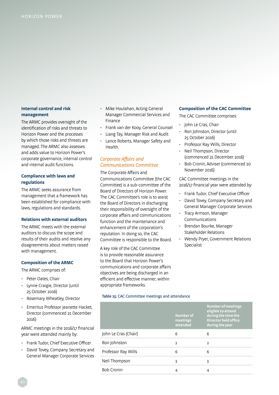# **Internal control and risk management**

The ARMC provides oversight of the identification of risks and threats to Horizon Power and the processes by which those risks and threats are managed. The ARMC also assesses and adds value to Horizon Power's corporate governance, internal control and internal audit functions.

# **Compliance with laws and regulations**

The ARMC seeks assurance from management that a framework has been established for compliance with laws, regulations and standards.

#### **Relations with external auditors**

The ARMC meets with the external auditors to discuss the scope and results of their audits and resolve any disagreements about matters raised with management.

#### **Composition of the ARMC**

The ARMC comprises of:

- Peter Oates, Chair
- Lynne Craigie, Director (until 25 October 2016)
- Rosemary Wheatley, Director
- Emeritus Professor Jeanette Hacket, Director (commenced 21 December 2016)

ARMC meetings in the 2016/17 financial year were attended mainly by:

- Frank Tudor, Chief Executive Officer
- David Tovey, Company Secretary and General Manager Corporate Services
- Mike Houlahan, Acting General Manager Commercial Services and Finance
- Frank van der Kooy, General Counsel
- Liang Tay, Manager Risk and Audit
- Lance Roberts, Manager Safety and Health.

# Corporate Affairs and Communications Committee

The Corporate Affairs and Communications Committee (the CAC Committee) is a sub-committee of the Board of Directors of Horizon Power. The CAC Committee's role is to assist the Board of Directors in discharging their responsibility of oversight of the corporate affairs and communications function and the maintenance and enhancement of the corporation's reputation. In doing so, the CAC Committee is responsible to the Board.

A key role of the CAC Committee is to provide reasonable assurance to the Board that Horizon Power's communications and corporate affairs objectives are being discharged in an efficient and effective manner, within appropriate frameworks.

#### Table 15: CAC Committee meetings and attendance

#### **Composition of the CAC Committee**

The CAC Committee comprises:

- John Le Cras, Chair
- Ron Johnston, Director (until 25 October 2016)
- Professor Ray Wills, Director
- Neil Thompson, Director (commenced 21 December 2016)
- Bob Cronin, Adviser (commenced 20 November 2016)

CAC Committee meetings in the 2016/17 financial year were attended by:

- Frank Tudor, Chief Executive Officer
- David Tovey, Company Secretary and General Manager Corporate Services
- Tracy Armson, Manager Communications
- Brendan Bourke, Manager Stakeholder Relations
- Wendy Pryer, Government Relations Specialist

|                      | Number of<br>meetings<br>attended | <b>Number of meetings</b><br>eligible to attend<br>during the time the<br>Director held office<br>during the year |
|----------------------|-----------------------------------|-------------------------------------------------------------------------------------------------------------------|
| John Le Cras (Chair) | 6                                 | 6                                                                                                                 |
| Ron Johnston         | $\overline{2}$                    | $\overline{2}$                                                                                                    |
| Professor Ray Wills  | 6                                 | 6                                                                                                                 |
| Neil Thompson        | 3                                 | 3                                                                                                                 |
| <b>Bob Cronin</b>    | 4                                 | 4                                                                                                                 |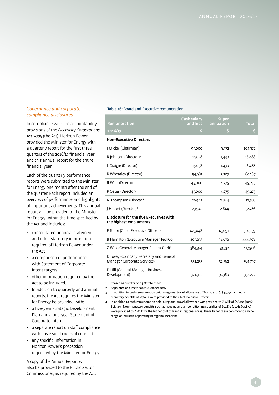### Governance and corporate compliance disclosures

In compliance with the accountability provisions of the Electricity Corporations Act 2005 (the Act), Horizon Power provided the Minister for Energy with a quarterly report for the first three quarters of the 2016/17 financial year and this annual report for the entire financial year.

Each of the quarterly performance reports were submitted to the Minister for Energy one month after the end of the quarter. Each report included an overview of performance and highlights of important achievements. This annual report will be provided to the Minister for Energy within the time specified by the Act and includes:

- consolidated financial statements and other statutory information required of Horizon Power under the Act
- a comparison of performance with Statement of Corporate Intent targets
- $\cdot$  other information required by the Act to be included.
- In addition to quarterly and annual reports, the Act requires the Minister for Energy be provided with:
- a five-year Strategic Development Plan and a one-year Statement of Corporate Intent
- a separate report on staff compliance with any issued codes of conduct
- any specific information in Horizon Power's possession requested by the Minister for Energy.

A copy of the Annual Report will also be provided to the Public Sector Commissioner, as required by the Act.

#### Table 16: Board and Executive remuneration

| Remuneration<br>2016/17                                               | <b>Cash salary</b><br>and fees<br>Ś | <b>Super</b><br>annuation<br>Ś | <b>Total</b><br>\$ |
|-----------------------------------------------------------------------|-------------------------------------|--------------------------------|--------------------|
| <b>Non-Executive Directors</b>                                        |                                     |                                |                    |
| I Mickel (Chairman)                                                   | 95,000                              | 9,372                          | 104,372            |
| R Johnson (Director) <sup>1</sup>                                     | 15,058                              | 1,430                          | 16,488             |
| L Craigie (Director) <sup>1</sup>                                     | 15,058                              | 1,430                          | 16,488             |
| R Wheatley (Director)                                                 | 54,981                              | 5,207                          | 60,187             |
| R Wills (Director)                                                    | 45,000                              | 4,275                          | 49,275             |
| P Oates (Director)                                                    | 45,000                              | 4,275                          | 49,275             |
| N Thompson (Director) <sup>2</sup>                                    | 29,942                              | 2,844                          | 32,786             |
| Hacket (Director) <sup>2</sup>                                        | 29,942                              | 2,844                          | 32,786             |
| Disclosure for the five Executives with<br>the highest emoluments     |                                     |                                |                    |
| F Tudor (Chief Executive Officer) <sup>3</sup>                        | 475,048                             | 45,091                         | 520,139            |
| B Hamilton (Executive Manager TechCo)                                 | 405,633                             | 38,676                         | 444,308            |
| Z Wilk (General Manager Pilbara Grid) <sup>4</sup>                    | 384,374                             | 33,532                         | 417,906            |
| D Tovey (Company Secretary and General<br>Manager Corporate Services) | 332,235                             | 32,562                         | 364,797            |
| D Hill (General Manager Business<br>Development)                      | 321,912                             | 30,360                         | 352,272            |
|                                                                       |                                     |                                |                    |

1 Ceased as director on 25 October 2016.

2 Appointed as director on 26 October 2016.

3 In addition to cash remuneration paid, a regional travel allowance of \$47,123 (2016: \$43,954) and nonmonetary benefits of \$17,041 were provided to the Chief Executive Officer.

4 In addition to cash remuneration paid, a regional travel allowance was provided to Z Wilk of \$18,291 (2016: \$18,549). Non-monetary benefits such as housing and air-conditioning subsidies of \$50,831 (2016: \$54,877) were provided to Z Wilk for the higher cost of living in regional areas. These benefits are common to a wide range of industries operating in regional locations.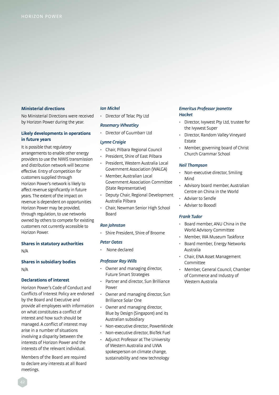#### **Ministerial directions**

No Ministerial Directions were received by Horizon Power during the year.

#### **Likely developments in operations in future years**

It is possible that regulatory arrangements to enable other energy providers to use the NWIS transmission and distribution network will become effective. Entry of competition for customers supplied through Horizon Power's network is likely to affect revenue significantly in future years. The extent of the impact on revenue is dependent on opportunities Horizon Power may be provided, through regulation, to use networks owned by others to compete for existing customers not currently accessible to Horizon Power.

# **Shares in statutory authorities**

N/A

# **Shares in subsidiary bodies**  N/A

# **Declarations of interest**

Horizon Power's Code of Conduct and Conflicts of Interest Policy are endorsed by the Board and Executive and provide all employees with information on what constitutes a conflict of interest and how such should be managed. A conflict of interest may arise in a number of situations involving a disparity between the interests of Horizon Power and the interests of the relevant individual.

Members of the Board are required to declare any interests at all Board meetings.

#### Ian Mickel

• Director of Telac Pty Ltd

#### Rosemary Wheatley

• Director of Guumbarr Ltd

#### Lynne Craigie

- Chair, Pilbara Regional Council
- President, Shire of East Pilbara
- President, Western Australia Local Government Association (WALGA)
- Member, Australian Local Government Association Committee (State Representative)
- Deputy Chair, Regional Development Australia Pilbara
- Chair, Newman Senior High School Board

#### Ron Johnston

• Shire President, Shire of Broome

#### Peter Oates

• None declared

#### Professor Ray Wills

- Owner and managing director, Future Smart Strategies
- Partner and director, Sun Brilliance Power
- Owner and managing director, Sun Brilliance Solar One
- Owner and managing director, Blue by Design (Singapore) and its Australian subsidiary
- Non-executive director, PowerMinde
- Non-executive director, BioTek Fuel
- Adjunct Professor at The University of Western Australia and UWA spokesperson on climate change, sustainability and new technology

#### Emeritus Professor Jeanette **Hacket**

- Director, Ivywest Pty Ltd, trustee for the Ivywest Super
- Director, Random Valley Vineyard Estate
- Member, governing board of Christ Church Grammar School

#### Neil Thompson

- Non-executive director, Smiling Mind
- Advisory board member, Australian Centre on China in the World
- Adviser to Sendle
- Adviser to Booodl

#### Frank Tudor

- Board member, ANU China in the World Advisory Committee
- Member, WA Museum Taskforce
- Board member, Energy Networks Australia
- Chair, ENA Asset Management Committee
- Member, General Council, Chamber of Commerce and Industry of Western Australia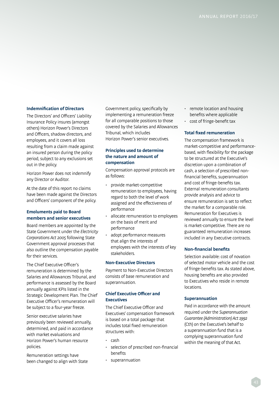#### **Indemnification of Directors**

The Directors' and Officers' Liability Insurance Policy insures (amongst others) Horizon Power's Directors and Officers, shadow directors, and employees, and it covers all loss resulting from a claim made against an insured person during the policy period, subject to any exclusions set out in the policy.

Horizon Power does not indemnify any Director or Auditor.

At the date of this report no claims have been made against the Directors and Officers' component of the policy.

# **Emoluments paid to Board members and senior executives**

Board members are appointed by the State Government under the Electricity Corporations Act 2005 following State Government approval processes that also outline the compensation payable for their services.

The Chief Executive Officer's remuneration is determined by the Salaries and Allowances Tribunal, and performance is assessed by the Board annually against KPIs listed in the Strategic Development Plan. The Chief Executive Officer's remuneration will be subject to a four-year freeze.

Senior executive salaries have previously been reviewed annually, determined, and paid in accordance with market evaluations and Horizon Power's human resource policies.

Remuneration settings have been changed to align with State Government policy, specifically by implementing a remuneration freeze for all comparable positions to those covered by the Salaries and Allowances Tribunal, which includes Horizon Power's senior executives.

# **Principles used to determine the nature and amount of compensation**

Compensation approval protocols are as follows:

- provide market-competitive remuneration to employees, having regard to both the level of work assigned and the effectiveness of performance
- allocate remuneration to employees on the basis of merit and performance
- adopt performance measures that align the interests of employees with the interests of key stakeholders.

#### **Non-Executive Directors**

Payment to Non-Executive Directors consists of base remuneration and superannuation.

# **Chief Executive Officer and Executives**

The Chief Executive Officer and Executives' compensation framework is based on a total package that includes total fixed remuneration structures with:

- cash
- selection of prescribed non-financial benefits
- superannuation
- remote location and housing benefits where applicable
- cost of fringe-benefit tax

#### **Total fixed remuneration**

The compensation framework is market-competitive and performancebased, with flexibility for the package to be structured at the Executive's discretion upon a combination of cash, a selection of prescribed nonfinancial benefits, superannuation and cost of fringe-benefits tax. External remuneration consultants provide analysis and advice to ensure remuneration is set to reflect the market for a comparable role. Remuneration for Executives is reviewed annually to ensure the level is market-competitive. There are no guaranteed remuneration increases included in any Executive contracts.

#### **Non-financial benefits**

Selection available: cost of novation of selected motor vehicle and the cost of fringe-benefits tax. As stated above, housing benefits are also provided to Executives who reside in remote locations.

#### **Superannuation**

Paid in accordance with the amount required under the Superannuation Guarantee (Administration) Act 1992 (Cth) on the Executive's behalf to a superannuation fund that is a complying superannuation fund within the meaning of that Act.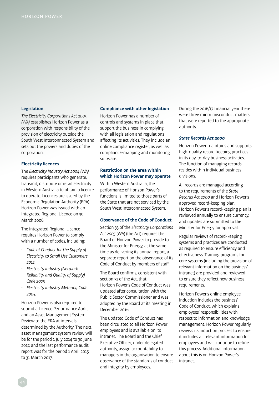#### **Legislation**

The Electricity Corporations Act 2005 (WA) establishes Horizon Power as a corporation with responsibility of the provision of electricity outside the South West Interconnected System and sets out the powers and duties of the corporation.

#### **Electricity licences**

The Electricity Industry Act 2004 (WA) requires participants who generate, transmit, distribute or retail electricity in Western Australia to obtain a licence to operate. Licences are issued by the Economic Regulation Authority (ERA). Horizon Power was issued with an Integrated Regional Licence on 30 March 2006.

The Integrated Regional Licence requires Horizon Power to comply with a number of codes, including:

- Code of Conduct for the Supply of Electricity to Small Use Customers 2012
- Electricity Industry (Network Reliability and Quality of Supply) Code 2005
- Electricity Industry Metering Code 2005.

Horizon Power is also required to submit a Licence Performance Audit and an Asset Management System Review to the ERA at intervals determined by the Authority. The next asset management system review will be for the period 1 July 2014 to 30 June 2017, and the last performance audit report was for the period 1 April 2015 to 31 March 2017.

#### **Compliance with other legislation**

Horizon Power has a number of controls and systems in place that support the business in complying with all legislation and regulations affecting its activities. They include an online compliance register, as well as compliance-mapping and monitoring software.

#### **Restriction on the area within which Horizon Power may operate**

Within Western Australia, the performance of Horizon Power's functions is limited to those parts of the State that are not serviced by the South West Interconnected System.

#### **Observance of the Code of Conduct**

Section 33 of the Electricity Corporations Act 2005 (WA) (the Act) requires the Board of Horizon Power to provide to the Minister for Energy, at the same time as delivering its annual report, a separate report on the observance of its Code of Conduct by members of staff.

The Board confirms, consistent with section 31 of the Act, that Horizon Power's Code of Conduct was updated after consultation with the Public Sector Commissioner and was adopted by the Board at its meeting in December 2016.

The updated Code of Conduct has been circulated to all Horizon Power employees and is available on its intranet. The Board and the Chief Executive Officer, under delegated authority, assign accountability to managers in the organisation to ensure observance of the standards of conduct and integrity by employees.

During the 2016/17 financial year there were three minor misconduct matters that were reported to the appropriate authority.

#### **State Records Act 2000**

Horizon Power maintains and supports high-quality record-keeping practices in its day-to-day business activities. The function of managing records resides within individual business divisions.

All records are managed according to the requirements of the State Records Act 2000 and Horizon Power's approved record-keeping plan. Horizon Power's record-keeping plan is reviewed annually to ensure currency, and updates are submitted to the Minister for Energy for approval.

Regular reviews of record-keeping systems and practices are conducted as required to ensure efficiency and effectiveness. Training programs for core systems (including the provision of relevant information on the business' intranet) are provided and reviewed to ensure they reflect new business requirements.

Horizon Power's online employee induction includes the business' Code of Conduct, which explains employees' responsibilities with respect to information and knowledge management. Horizon Power regularly reviews its induction process to ensure it includes all relevant information for employees and will continue to refine this process. Additional information about this is on Horizon Power's intranet.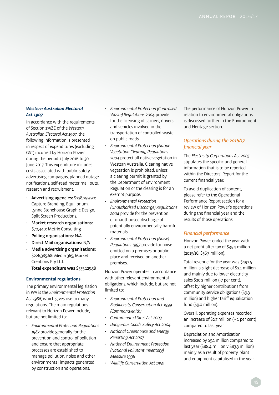# **Western Australian Electoral Act 1907**

In accordance with the requirements of Section 175ZE of the Western Australian Electoral Act 1907, the following information is presented in respect of expenditures (excluding GST) incurred by Horizon Power during the period 1 July 2016 to 30 June 2017. This expenditure includes costs associated with public safety advertising campaigns, planned outage notifications, self-read meter mail outs, research and recruitment.

- Advertising agencies: \$238,299.90: Capture Branding, Equilibrium, Lynne Stonehouse Graphic Design, Split Screen Productions.
- Market research organisations: \$70,440: Metrix Consulting
- Polling organisations: N/A
- Direct Mail organisations: N/A
- Media advertising organisations: \$226,385.68: Media 365, Market Creations Pty Ltd.

Total expenditure was \$535,125.58

# **Environmental regulations**

The primary environmental legislation in WA is the Environmental Protection Act 1986, which gives rise to many regulations. The main regulations relevant to Horizon Power include, but are not limited to:

• Environmental Protection Regulations 1987 provide generally for the prevention and control of pollution and ensure that appropriate processes are established to manage pollution, noise and other environmental impacts generated by construction and operations.

- Environmental Protection (Controlled Waste) Regulations 2004 provide for the licensing of carriers, drivers and vehicles involved in the transportation of controlled waste on public roads.
- Environmental Protection (Native Vegetation Clearing) Regulations 2004 protect all native vegetation in Western Australia. Clearing native vegetation is prohibited, unless a clearing permit is granted by the Department of Environment Regulation or the clearing is for an exempt purpose.
- Environmental Protection (Unauthorised Discharge) Regulations 2004 provide for the prevention of unauthorised discharge of potentially environmentally harmful materials.
- Environmental Protection (Noise) Regulations 1997 provide for noise emitted on a premises or public place and received on another premises.

Horizon Power operates in accordance with other relevant environmental obligations, which include, but are not limited to:

- Environmental Protection and Biodiversity Conservation Act 1999 (Commonwealth)
- Contaminated Sites Act 2003
- Dangerous Goods Safety Act 2004
- National Greenhouse and Energy Reporting Act 2007
- National Environment Protection (National Pollutant Inventory) Measure 1998
- Wildlife Conservation Act 1950

The performance of Horizon Power in relation to environmental obligations is discussed further in the Environment and Heritage section.

# Operations during the 2016/17 financial year

The Electricity Corporations Act 2005 stipulates the specific and general information that is to be reported within the Directors' Report for the current financial year.

To avoid duplication of content, please refer to the Operational Performance Report section for a review of Horizon Power's operations during the financial year and the results of those operations.

# Financial performance

Horizon Power ended the year with a net profit after tax of \$35.4 million (2015/16: \$36.7 million).

Total revenue for the year was \$492.5 million, a slight decrease of \$2.1 million and mainly due to lower electricity sales \$20.2 million (-7 per cent), offset by higher contributions from community service obligations (\$9.3 million) and higher tariff equalisation fund (\$9.0 million).

Overall, operating expenses recorded an increase of \$2.7 million  $(-1)$  per cent) compared to last year.

Depreciation and Amortisation increased by \$5.1 million compared to last year (\$88.4 million v \$83.3 million) mainly as a result of property, plant and equipment capitalised in the year.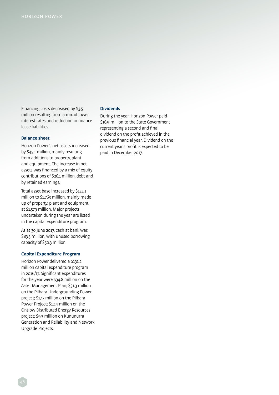Financing costs decreased by \$3.5 million resulting from a mix of lower interest rates and reduction in finance lease liabilities.

#### **Balance sheet**

Horizon Power's net assets increased by \$45.1 million, mainly resulting from additions to property, plant and equipment. The increase in net assets was financed by a mix of equity contributions of \$26.1 million, debt and by retained earnings.

Total asset base increased by \$122.1 million to \$1.763 million, mainly made up of property, plant and equipment at \$1.579 million. Major projects undertaken during the year are listed in the capital expenditure program.

As at 30 June 2017, cash at bank was \$83.5 million, with unused borrowing capacity of \$50.3 million.

#### **Capital Expenditure Program**

Horizon Power delivered a \$131.2 million capital expenditure program in 2016/17. Significant expenditures for the year were \$34.8 million on the Asset Management Plan; \$31.3 million on the Pilbara Undergrounding Power project; \$17.7 million on the Pilbara Power Project; \$12.4 million on the Onslow Distributed Energy Resources project; \$9.3 million on Kununurra Generation and Reliability and Network Upgrade Projects.

#### **Dividends**

During the year, Horizon Power paid \$16.9 million to the State Government representing a second and final dividend on the profit achieved in the previous financial year. Dividend on the current year's profit is expected to be paid in December 2017.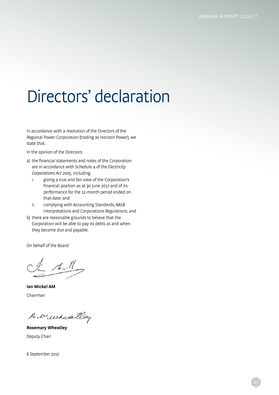# Directors' declaration

In accordance with a resolution of the Directors of the Regional Power Corporation (trading as Horizon Power), we state that:

In the opinion of the Directors:

- a) the financial statements and notes of the Corporation are in accordance with Schedule 4 of the Electricity Corporations Act 2005, including:
	- i. giving a true and fair view of the Corporation's financial position as at 30 June 2017 and of its performance for the 12-month period ended on that date; and
	- ii. complying with Accounting Standards, AASB Interpretations and Corporations Regulations; and
- b) there are reasonable grounds to believe that the Corporation will be able to pay its debts as and when they become due and payable.

On behalf of the Board

 $-$  16.11

**Ian Mickel AM** Chairman

A w recheally

**Rosemary Wheatley** Deputy Chair

6 September 2017